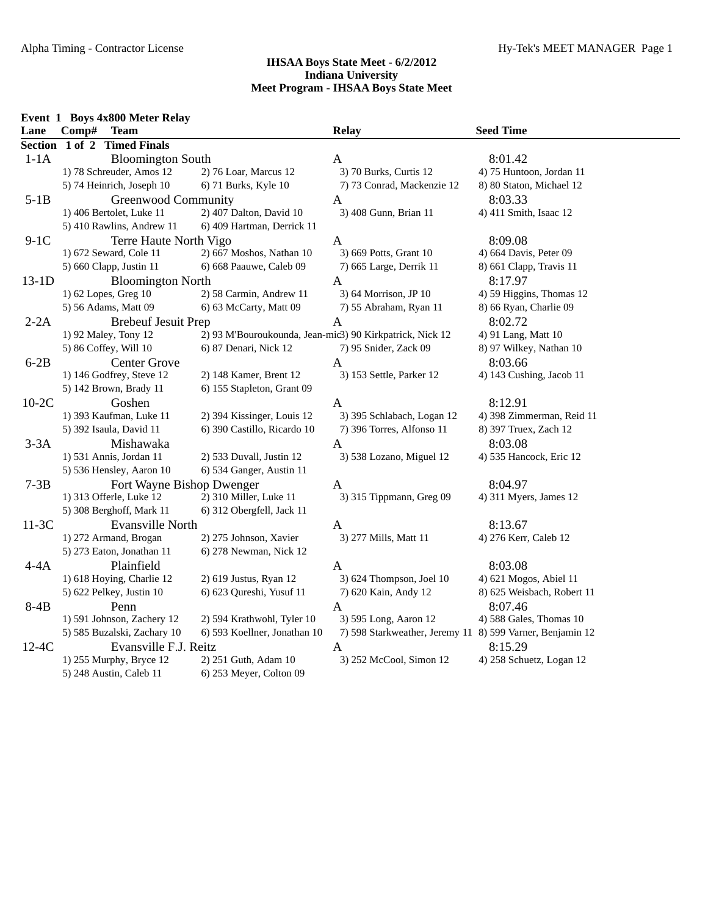|         | Event 1 Boys 4x800 Meter Relay |                                                          |                                                           |                            |
|---------|--------------------------------|----------------------------------------------------------|-----------------------------------------------------------|----------------------------|
| Lane    | Comp#<br><b>Team</b>           |                                                          | <b>Relay</b>                                              | <b>Seed Time</b>           |
|         | Section 1 of 2 Timed Finals    |                                                          |                                                           |                            |
| $1-1A$  | <b>Bloomington South</b>       |                                                          | $\mathbf{A}$                                              | 8:01.42                    |
|         | 1) 78 Schreuder, Amos 12       | 2) 76 Loar, Marcus 12                                    | 3) 70 Burks, Curtis 12                                    | 4) 75 Huntoon, Jordan 11   |
|         | 5) 74 Heinrich, Joseph 10      | 6) 71 Burks, Kyle 10                                     | 7) 73 Conrad, Mackenzie 12                                | 8) 80 Staton, Michael 12   |
| $5-1B$  | Greenwood Community            |                                                          | A                                                         | 8:03.33                    |
|         | 1) 406 Bertolet, Luke 11       | 2) 407 Dalton, David 10                                  | 3) 408 Gunn, Brian 11                                     | 4) 411 Smith, Isaac 12     |
|         | 5) 410 Rawlins, Andrew 11      | 6) 409 Hartman, Derrick 11                               |                                                           |                            |
| $9-1C$  | Terre Haute North Vigo         |                                                          | $\mathbf{A}$                                              | 8:09.08                    |
|         | 1) 672 Seward, Cole 11         | 2) 667 Moshos, Nathan 10                                 | 3) 669 Potts, Grant 10                                    | 4) 664 Davis, Peter 09     |
|         | 5) 660 Clapp, Justin 11        | 6) 668 Paauwe, Caleb 09                                  | 7) 665 Large, Derrik 11                                   | 8) 661 Clapp, Travis 11    |
| $13-1D$ | <b>Bloomington North</b>       |                                                          | $\mathbf{A}$                                              | 8:17.97                    |
|         | 1) 62 Lopes, Greg 10           | 2) 58 Carmin, Andrew 11                                  | 3) 64 Morrison, JP 10                                     | 4) 59 Higgins, Thomas 12   |
|         | 5) 56 Adams, Matt 09           | 6) 63 McCarty, Matt 09                                   | 7) 55 Abraham, Ryan 11                                    | 8) 66 Ryan, Charlie 09     |
| $2-2A$  | <b>Brebeuf Jesuit Prep</b>     |                                                          | A                                                         | 8:02.72                    |
|         | 1) 92 Maley, Tony 12           | 2) 93 M'Bouroukounda, Jean-mic3) 90 Kirkpatrick, Nick 12 |                                                           | 4) 91 Lang, Matt 10        |
|         | 5) 86 Coffey, Will 10          | 6) 87 Denari, Nick 12                                    | 7) 95 Snider, Zack 09                                     | 8) 97 Wilkey, Nathan 10    |
| $6-2B$  | Center Grove                   |                                                          | A                                                         | 8:03.66                    |
|         | 1) 146 Godfrey, Steve 12       | 2) 148 Kamer, Brent 12                                   | 3) 153 Settle, Parker 12                                  | 4) 143 Cushing, Jacob 11   |
|         | 5) 142 Brown, Brady 11         | 6) 155 Stapleton, Grant 09                               |                                                           |                            |
| $10-2C$ | Goshen                         |                                                          | $\mathbf{A}$                                              | 8:12.91                    |
|         | 1) 393 Kaufman, Luke 11        | 2) 394 Kissinger, Louis 12                               | 3) 395 Schlabach, Logan 12                                | 4) 398 Zimmerman, Reid 11  |
|         | 5) 392 Isaula, David 11        | 6) 390 Castillo, Ricardo 10                              | 7) 396 Torres, Alfonso 11                                 | 8) 397 Truex, Zach 12      |
| $3-3A$  | Mishawaka                      |                                                          | A                                                         | 8:03.08                    |
|         | 1) 531 Annis, Jordan 11        | 2) 533 Duvall, Justin 12                                 | 3) 538 Lozano, Miguel 12                                  | 4) 535 Hancock, Eric 12    |
|         | 5) 536 Hensley, Aaron 10       | 6) 534 Ganger, Austin 11                                 |                                                           |                            |
| $7-3B$  | Fort Wayne Bishop Dwenger      |                                                          | A                                                         | 8:04.97                    |
|         | 1) 313 Offerle, Luke 12        | 2) 310 Miller, Luke 11                                   | 3) 315 Tippmann, Greg 09                                  | 4) 311 Myers, James 12     |
|         | 5) 308 Berghoff, Mark 11       | 6) 312 Obergfell, Jack 11                                |                                                           |                            |
| $11-3C$ | Evansville North               |                                                          | A                                                         | 8:13.67                    |
|         | 1) 272 Armand, Brogan          | 2) 275 Johnson, Xavier                                   | 3) 277 Mills, Matt 11                                     | 4) 276 Kerr, Caleb 12      |
|         | 5) 273 Eaton, Jonathan 11      | 6) 278 Newman, Nick 12                                   |                                                           |                            |
| $4-4A$  | Plainfield                     |                                                          | A                                                         | 8:03.08                    |
|         | 1) 618 Hoying, Charlie 12      | 2) 619 Justus, Ryan 12                                   | 3) 624 Thompson, Joel 10                                  | 4) 621 Mogos, Abiel 11     |
|         | 5) 622 Pelkey, Justin 10       | 6) 623 Qureshi, Yusuf 11                                 | 7) 620 Kain, Andy 12                                      | 8) 625 Weisbach, Robert 11 |
| $8-4B$  | Penn                           |                                                          | A                                                         | 8:07.46                    |
|         | 1) 591 Johnson, Zachery 12     | 2) 594 Krathwohl, Tyler 10                               | 3) 595 Long, Aaron 12                                     | 4) 588 Gales, Thomas 10    |
|         | 5) 585 Buzalski, Zachary 10    | 6) 593 Koellner, Jonathan 10                             | 7) 598 Starkweather, Jeremy 11 8) 599 Varner, Benjamin 12 |                            |
| $12-4C$ | Evansville F.J. Reitz          |                                                          | A                                                         | 8:15.29                    |
|         | 1) 255 Murphy, Bryce 12        | 2) 251 Guth, Adam 10                                     | 3) 252 McCool, Simon 12                                   | 4) 258 Schuetz, Logan 12   |
|         | 5) 248 Austin, Caleb 11        | 6) 253 Meyer, Colton 09                                  |                                                           |                            |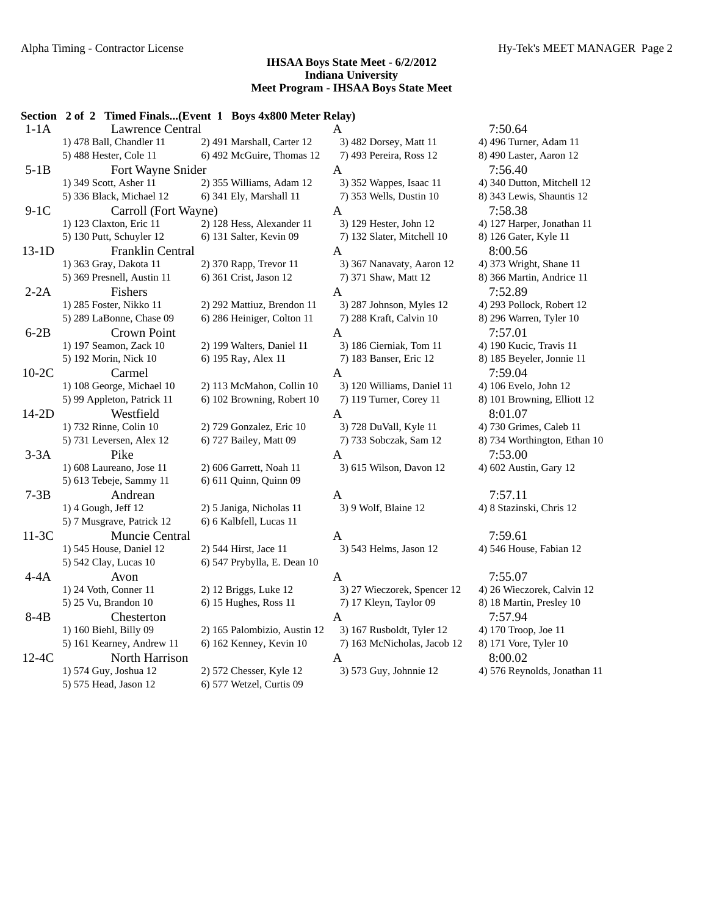|         | Section 2 of 2 Timed Finals(Event 1 Boys 4x800 Meter Relay) |                              |                             |                              |
|---------|-------------------------------------------------------------|------------------------------|-----------------------------|------------------------------|
| $1-1A$  | <b>Lawrence Central</b>                                     |                              | A                           | 7:50.64                      |
|         | 1) 478 Ball, Chandler 11                                    | 2) 491 Marshall, Carter 12   | 3) 482 Dorsey, Matt 11      | 4) 496 Turner, Adam 11       |
|         | 5) 488 Hester, Cole 11                                      | 6) 492 McGuire, Thomas 12    | 7) 493 Pereira, Ross 12     | 8) 490 Laster, Aaron 12      |
| $5-1B$  | Fort Wayne Snider                                           |                              | $\mathbf{A}$                | 7:56.40                      |
|         | 1) 349 Scott, Asher 11                                      | 2) 355 Williams, Adam 12     | 3) 352 Wappes, Isaac 11     | 4) 340 Dutton, Mitchell 12   |
|         | 5) 336 Black, Michael 12                                    | 6) 341 Ely, Marshall 11      | 7) 353 Wells, Dustin 10     | 8) 343 Lewis, Shauntis 12    |
| $9-1C$  | Carroll (Fort Wayne)                                        |                              | $\mathbf{A}$                | 7:58.38                      |
|         | 1) 123 Claxton, Eric 11                                     | 2) 128 Hess, Alexander 11    | 3) 129 Hester, John 12      | 4) 127 Harper, Jonathan 11   |
|         | 5) 130 Putt, Schuyler 12                                    | 6) 131 Salter, Kevin 09      | 7) 132 Slater, Mitchell 10  | 8) 126 Gater, Kyle 11        |
| $13-1D$ | Franklin Central                                            |                              | $\mathbf{A}$                | 8:00.56                      |
|         | 1) 363 Gray, Dakota 11                                      | 2) 370 Rapp, Trevor 11       | 3) 367 Nanavaty, Aaron 12   | 4) 373 Wright, Shane 11      |
|         | 5) 369 Presnell, Austin 11                                  | 6) 361 Crist, Jason 12       | 7) 371 Shaw, Matt 12        | 8) 366 Martin, Andrice 11    |
| $2-2A$  | Fishers                                                     |                              | A                           | 7:52.89                      |
|         | 1) 285 Foster, Nikko 11                                     | 2) 292 Mattiuz, Brendon 11   | 3) 287 Johnson, Myles 12    | 4) 293 Pollock, Robert 12    |
|         | 5) 289 LaBonne, Chase 09                                    | 6) 286 Heiniger, Colton 11   | 7) 288 Kraft, Calvin 10     | 8) 296 Warren, Tyler 10      |
| $6-2B$  | <b>Crown Point</b>                                          |                              | $\mathbf{A}$                | 7:57.01                      |
|         | 1) 197 Seamon, Zack 10                                      | 2) 199 Walters, Daniel 11    | 3) 186 Cierniak, Tom 11     | 4) 190 Kucic, Travis 11      |
|         | 5) 192 Morin, Nick 10                                       | 6) 195 Ray, Alex 11          | 7) 183 Banser, Eric 12      | 8) 185 Beyeler, Jonnie 11    |
| $10-2C$ | Carmel                                                      |                              | $\mathbf{A}$                | 7:59.04                      |
|         | 1) 108 George, Michael 10                                   | 2) 113 McMahon, Collin 10    | 3) 120 Williams, Daniel 11  | 4) 106 Evelo, John 12        |
|         | 5) 99 Appleton, Patrick 11                                  | 6) 102 Browning, Robert 10   | 7) 119 Turner, Corey 11     | 8) 101 Browning, Elliott 12  |
| $14-2D$ | Westfield                                                   |                              | A                           | 8:01.07                      |
|         | 1) 732 Rinne, Colin 10                                      | 2) 729 Gonzalez, Eric 10     | 3) 728 DuVall, Kyle 11      | 4) 730 Grimes, Caleb 11      |
|         | 5) 731 Leversen, Alex 12                                    | 6) 727 Bailey, Matt 09       | 7) 733 Sobczak, Sam 12      | 8) 734 Worthington, Ethan 10 |
| $3-3A$  | Pike                                                        |                              | $\mathbf{A}$                | 7:53.00                      |
|         | 1) 608 Laureano, Jose 11                                    | 2) 606 Garrett, Noah 11      | 3) 615 Wilson, Davon 12     | 4) 602 Austin, Gary 12       |
|         | 5) 613 Tebeje, Sammy 11                                     | 6) 611 Quinn, Quinn 09       |                             |                              |
| $7-3B$  | Andrean                                                     |                              | A                           | 7:57.11                      |
|         | 1) 4 Gough, Jeff 12                                         | 2) 5 Janiga, Nicholas 11     | 3) 9 Wolf, Blaine 12        | 4) 8 Stazinski, Chris 12     |
|         | 5) 7 Musgrave, Patrick 12                                   | 6) 6 Kalbfell, Lucas 11      |                             |                              |
| $11-3C$ | Muncie Central                                              |                              | $\mathbf{A}$                | 7:59.61                      |
|         | 1) 545 House, Daniel 12                                     | 2) 544 Hirst, Jace 11        | 3) 543 Helms, Jason 12      | 4) 546 House, Fabian 12      |
|         | 5) 542 Clay, Lucas 10                                       | 6) 547 Prybylla, E. Dean 10  |                             |                              |
| $4-4A$  | Avon                                                        |                              | $\mathbf{A}$                | 7:55.07                      |
|         | 1) 24 Voth, Conner 11                                       | 2) 12 Briggs, Luke 12        | 3) 27 Wieczorek, Spencer 12 | 4) 26 Wieczorek, Calvin 12   |
|         | 5) 25 Vu, Brandon 10                                        | 6) 15 Hughes, Ross 11        | 7) 17 Kleyn, Taylor 09      | 8) 18 Martin, Presley 10     |
| $8-4B$  | Chesterton                                                  |                              | $\mathbf{A}$                | 7:57.94                      |
|         | 1) 160 Biehl, Billy 09                                      | 2) 165 Palombizio, Austin 12 | 3) 167 Rusboldt, Tyler 12   | 4) 170 Troop, Joe 11         |
|         | 5) 161 Kearney, Andrew 11                                   | 6) 162 Kenney, Kevin 10      | 7) 163 McNicholas, Jacob 12 | 8) 171 Vore, Tyler 10        |
| $12-4C$ | North Harrison                                              |                              | $\mathbf{A}$                | 8:00.02                      |
|         | 1) 574 Guy, Joshua 12                                       | 2) 572 Chesser, Kyle 12      | 3) 573 Guy, Johnnie 12      | 4) 576 Reynolds, Jonathan 11 |
|         | 5) 575 Head, Jason 12                                       | 6) 577 Wetzel, Curtis 09     |                             |                              |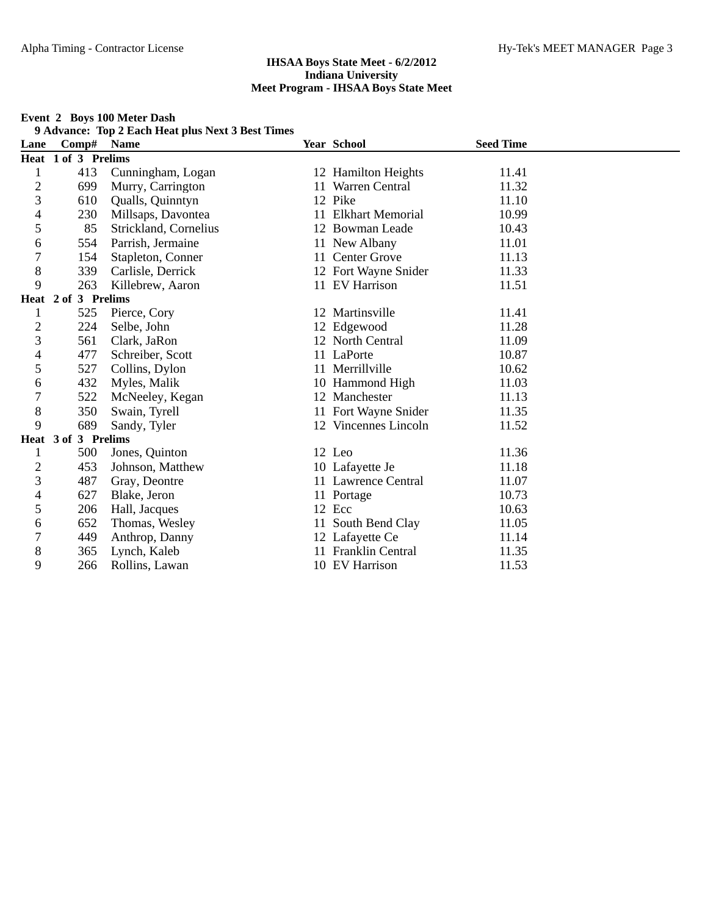#### **Event 2 Boys 100 Meter Dash**

**9 Advance: Top 2 Each Heat plus Next 3 Best Times**

| Lane                     | Comp#               | <b>Name</b>           | Year School          | <b>Seed Time</b> |  |
|--------------------------|---------------------|-----------------------|----------------------|------------------|--|
|                          | Heat 1 of 3 Prelims |                       |                      |                  |  |
| 1                        | 413                 | Cunningham, Logan     | 12 Hamilton Heights  | 11.41            |  |
| $\overline{c}$           | 699                 | Murry, Carrington     | 11 Warren Central    | 11.32            |  |
| 3                        | 610                 | Qualls, Quinntyn      | 12 Pike              | 11.10            |  |
| $\overline{\mathcal{L}}$ | 230                 | Millsaps, Davontea    | 11 Elkhart Memorial  | 10.99            |  |
| 5                        | 85                  | Strickland, Cornelius | 12 Bowman Leade      | 10.43            |  |
| 6                        | 554                 | Parrish, Jermaine     | 11 New Albany        | 11.01            |  |
| 7                        | 154                 | Stapleton, Conner     | 11 Center Grove      | 11.13            |  |
| 8                        | 339                 | Carlisle, Derrick     | 12 Fort Wayne Snider | 11.33            |  |
| 9                        | 263                 | Killebrew, Aaron      | 11 EV Harrison       | 11.51            |  |
|                          | Heat 2 of 3 Prelims |                       |                      |                  |  |
| 1                        | 525                 | Pierce, Cory          | 12 Martinsville      | 11.41            |  |
| $\overline{c}$           | 224                 | Selbe, John           | 12 Edgewood          | 11.28            |  |
| 3                        | 561                 | Clark, JaRon          | 12 North Central     | 11.09            |  |
| $\overline{\mathcal{A}}$ | 477                 | Schreiber, Scott      | 11 LaPorte           | 10.87            |  |
| 5                        | 527                 | Collins, Dylon        | 11 Merrillville      | 10.62            |  |
| 6                        | 432                 | Myles, Malik          | 10 Hammond High      | 11.03            |  |
| $\overline{7}$           | 522                 | McNeeley, Kegan       | 12 Manchester        | 11.13            |  |
| 8                        | 350                 | Swain, Tyrell         | 11 Fort Wayne Snider | 11.35            |  |
| 9                        | 689                 | Sandy, Tyler          | 12 Vincennes Lincoln | 11.52            |  |
|                          | Heat 3 of 3 Prelims |                       |                      |                  |  |
| 1                        | 500                 | Jones, Quinton        | 12 Leo               | 11.36            |  |
| $\overline{2}$           | 453                 | Johnson, Matthew      | 10 Lafayette Je      | 11.18            |  |
| 3                        | 487                 | Gray, Deontre         | 11 Lawrence Central  | 11.07            |  |
| 4                        | 627                 | Blake, Jeron          | 11 Portage           | 10.73            |  |
| 5                        | 206                 | Hall, Jacques         | 12 Ecc               | 10.63            |  |
| 6                        | 652                 | Thomas, Wesley        | South Bend Clay      | 11.05            |  |
| $\tau$                   | 449                 | Anthrop, Danny        | 12 Lafayette Ce      | 11.14            |  |
| 8                        | 365                 | Lynch, Kaleb          | 11 Franklin Central  | 11.35            |  |
| 9                        | 266                 | Rollins, Lawan        | 10 EV Harrison       | 11.53            |  |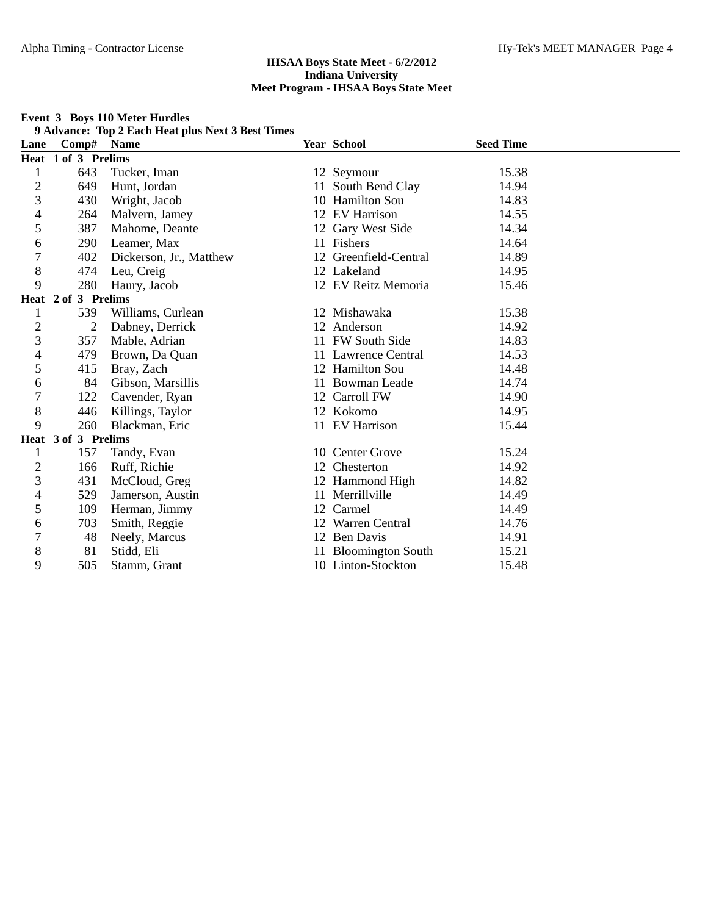|                |                     | $\lambda$ Auvance. Top 2 Each freat plus Next 3 Dest Thiles |    |                       |                  |
|----------------|---------------------|-------------------------------------------------------------|----|-----------------------|------------------|
| Lane           | Comp#               | <b>Name</b>                                                 |    | Year School           | <b>Seed Time</b> |
|                | Heat 1 of 3 Prelims |                                                             |    |                       |                  |
| 1              | 643                 | Tucker, Iman                                                |    | 12 Seymour            | 15.38            |
| $\overline{c}$ | 649                 | Hunt, Jordan                                                |    | 11 South Bend Clay    | 14.94            |
| 3              | 430                 | Wright, Jacob                                               |    | 10 Hamilton Sou       | 14.83            |
| 4              | 264                 | Malvern, Jamey                                              |    | 12 EV Harrison        | 14.55            |
| 5              | 387                 | Mahome, Deante                                              |    | 12 Gary West Side     | 14.34            |
| 6              | 290                 | Leamer, Max                                                 |    | 11 Fishers            | 14.64            |
| 7              | 402                 | Dickerson, Jr., Matthew                                     |    | 12 Greenfield-Central | 14.89            |
| 8              | 474                 | Leu, Creig                                                  |    | 12 Lakeland           | 14.95            |
| 9              | 280                 | Haury, Jacob                                                |    | 12 EV Reitz Memoria   | 15.46            |
|                | Heat 2 of 3 Prelims |                                                             |    |                       |                  |
| 1              | 539                 | Williams, Curlean                                           |    | 12 Mishawaka          | 15.38            |
| $\overline{c}$ | $\overline{2}$      | Dabney, Derrick                                             |    | 12 Anderson           | 14.92            |
| 3              | 357                 | Mable, Adrian                                               |    | 11 FW South Side      | 14.83            |
| 4              | 479                 | Brown, Da Quan                                              |    | 11 Lawrence Central   | 14.53            |
| 5              | 415                 | Bray, Zach                                                  |    | 12 Hamilton Sou       | 14.48            |
| 6              | 84                  | Gibson, Marsillis                                           |    | 11 Bowman Leade       | 14.74            |
| 7              | 122                 | Cavender, Ryan                                              |    | 12 Carroll FW         | 14.90            |
| 8              | 446                 | Killings, Taylor                                            |    | 12 Kokomo             | 14.95            |
| 9              | 260                 | Blackman, Eric                                              |    | 11 EV Harrison        | 15.44            |
|                | Heat 3 of 3 Prelims |                                                             |    |                       |                  |
| 1              | 157                 | Tandy, Evan                                                 |    | 10 Center Grove       | 15.24            |
| $\overline{c}$ | 166                 | Ruff, Richie                                                |    | 12 Chesterton         | 14.92            |
| 3              | 431                 | McCloud, Greg                                               |    | 12 Hammond High       | 14.82            |
| 4              | 529                 | Jamerson, Austin                                            |    | 11 Merrillville       | 14.49            |
| 5              | 109                 | Herman, Jimmy                                               | 12 | Carmel                | 14.49            |
| 6              | 703                 | Smith, Reggie                                               |    | 12 Warren Central     | 14.76            |
| 7              | 48                  | Neely, Marcus                                               |    | 12 Ben Davis          | 14.91            |
| 8              | 81                  | Stidd, Eli                                                  |    | 11 Bloomington South  | 15.21            |
| 9              | 505                 | Stamm, Grant                                                |    | 10 Linton-Stockton    | 15.48            |

#### **Event 3 Boys 110 Meter Hurdles 9 Advance: Top 2 Each Heat plus Next 3 Best Times**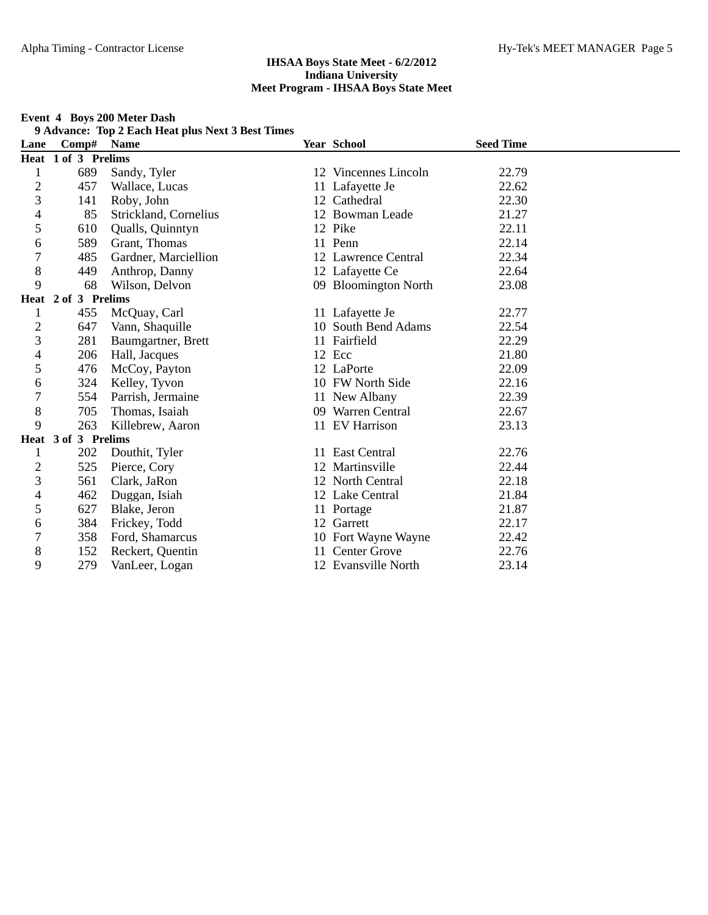#### **Event 4 Boys 200 Meter Dash**

**9 Advance: Top 2 Each Heat plus Next 3 Best Times**

| Lane                     | Comp#               | <b>Name</b>           | Year School          | <b>Seed Time</b> |  |
|--------------------------|---------------------|-----------------------|----------------------|------------------|--|
|                          | Heat 1 of 3 Prelims |                       |                      |                  |  |
| 1                        | 689                 | Sandy, Tyler          | 12 Vincennes Lincoln | 22.79            |  |
| $\overline{c}$           | 457                 | Wallace, Lucas        | 11 Lafayette Je      | 22.62            |  |
| 3                        | 141                 | Roby, John            | 12 Cathedral         | 22.30            |  |
| $\overline{\mathcal{A}}$ | 85                  | Strickland, Cornelius | 12 Bowman Leade      | 21.27            |  |
| 5                        | 610                 | Qualls, Quinntyn      | 12 Pike              | 22.11            |  |
| 6                        | 589                 | Grant, Thomas         | 11 Penn              | 22.14            |  |
| 7                        | 485                 | Gardner, Marciellion  | 12 Lawrence Central  | 22.34            |  |
| 8                        | 449                 | Anthrop, Danny        | 12 Lafayette Ce      | 22.64            |  |
| 9                        | 68                  | Wilson, Delvon        | 09 Bloomington North | 23.08            |  |
|                          | Heat 2 of 3 Prelims |                       |                      |                  |  |
| 1                        | 455                 | McQuay, Carl          | 11 Lafayette Je      | 22.77            |  |
| $\overline{c}$           | 647                 | Vann, Shaquille       | 10 South Bend Adams  | 22.54            |  |
| 3                        | 281                 | Baumgartner, Brett    | 11 Fairfield         | 22.29            |  |
| $\overline{\mathcal{L}}$ | 206                 | Hall, Jacques         | 12 Ecc               | 21.80            |  |
| 5                        | 476                 | McCoy, Payton         | 12 LaPorte           | 22.09            |  |
| 6                        | 324                 | Kelley, Tyvon         | 10 FW North Side     | 22.16            |  |
| 7                        | 554                 | Parrish, Jermaine     | 11 New Albany        | 22.39            |  |
| 8                        | 705                 | Thomas, Isaiah        | 09 Warren Central    | 22.67            |  |
| 9                        | 263                 | Killebrew, Aaron      | 11 EV Harrison       | 23.13            |  |
|                          | Heat 3 of 3 Prelims |                       |                      |                  |  |
| 1                        | 202                 | Douthit, Tyler        | 11 East Central      | 22.76            |  |
| $\overline{c}$           | 525                 | Pierce, Cory          | 12 Martinsville      | 22.44            |  |
| 3                        | 561                 | Clark, JaRon          | 12 North Central     | 22.18            |  |
| 4                        | 462                 | Duggan, Isiah         | 12 Lake Central      | 21.84            |  |
| 5                        | 627                 | Blake, Jeron          | 11 Portage           | 21.87            |  |
| 6                        | 384                 | Frickey, Todd         | 12 Garrett           | 22.17            |  |
| 7                        | 358                 | Ford, Shamarcus       | 10 Fort Wayne Wayne  | 22.42            |  |
| 8                        | 152                 | Reckert, Quentin      | 11 Center Grove      | 22.76            |  |
| 9                        | 279                 | VanLeer, Logan        | 12 Evansville North  | 23.14            |  |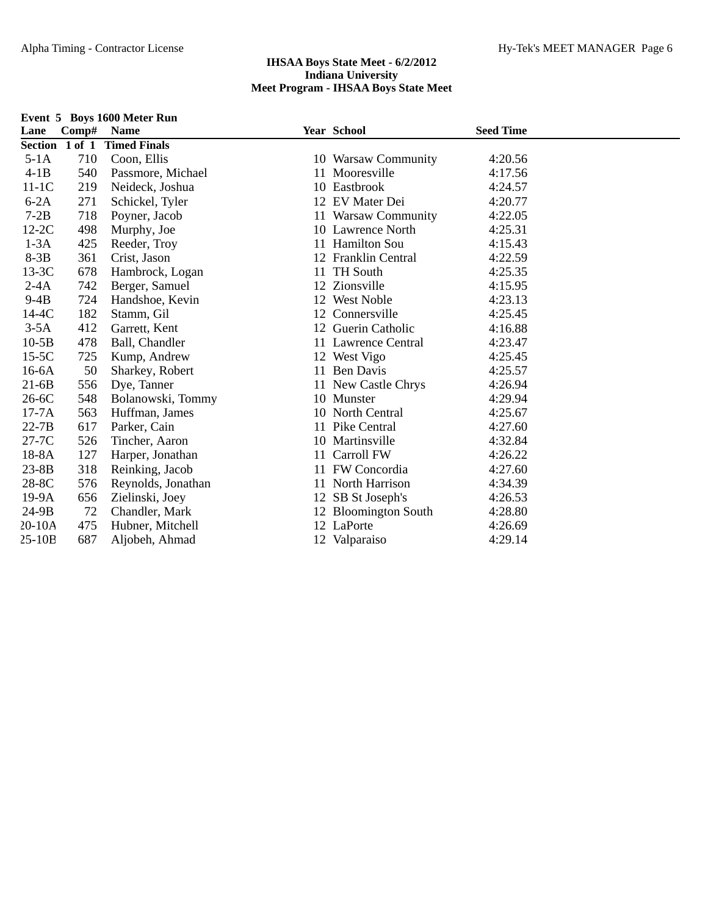| Event 5 Boys 1600 Meter Run |            |                     |    |                      |                  |  |
|-----------------------------|------------|---------------------|----|----------------------|------------------|--|
| Lane                        | Comp# Name |                     |    | Year School          | <b>Seed Time</b> |  |
| Section 1 of 1              |            | <b>Timed Finals</b> |    |                      |                  |  |
| $5-1A$                      | 710        | Coon, Ellis         |    | 10 Warsaw Community  | 4:20.56          |  |
| $4-1B$                      | 540        | Passmore, Michael   |    | 11 Mooresville       | 4:17.56          |  |
| $11-1C$                     | 219        | Neideck, Joshua     |    | 10 Eastbrook         | 4:24.57          |  |
| $6-2A$                      | 271        | Schickel, Tyler     |    | 12 EV Mater Dei      | 4:20.77          |  |
| $7-2B$                      | 718        | Poyner, Jacob       |    | 11 Warsaw Community  | 4:22.05          |  |
| $12-2C$                     | 498        | Murphy, Joe         |    | 10 Lawrence North    | 4:25.31          |  |
| $1-3A$                      | 425        | Reeder, Troy        |    | 11 Hamilton Sou      | 4:15.43          |  |
| $8-3B$                      | 361        | Crist, Jason        |    | 12 Franklin Central  | 4:22.59          |  |
| $13-3C$                     | 678        | Hambrock, Logan     |    | 11 TH South          | 4:25.35          |  |
| $2-4A$                      | 742        | Berger, Samuel      |    | 12 Zionsville        | 4:15.95          |  |
| $9-4B$                      | 724        | Handshoe, Kevin     |    | 12 West Noble        | 4:23.13          |  |
| $14-4C$                     | 182        | Stamm, Gil          |    | 12 Connersville      | 4:25.45          |  |
| $3-5A$                      | 412        | Garrett, Kent       |    | 12 Guerin Catholic   | 4:16.88          |  |
| $10-5B$                     | 478        | Ball, Chandler      |    | 11 Lawrence Central  | 4:23.47          |  |
| $15-5C$                     | 725        | Kump, Andrew        |    | 12 West Vigo         | 4:25.45          |  |
| $16-6A$                     | 50         | Sharkey, Robert     |    | 11 Ben Davis         | 4:25.57          |  |
| $21-6B$                     | 556        | Dye, Tanner         |    | 11 New Castle Chrys  | 4:26.94          |  |
| $26-6C$                     | 548        | Bolanowski, Tommy   |    | 10 Munster           | 4:29.94          |  |
| $17-7A$                     | 563        | Huffman, James      |    | 10 North Central     | 4:25.67          |  |
| $22 - 7B$                   | 617        | Parker, Cain        |    | 11 Pike Central      | 4:27.60          |  |
| $27-7C$                     | 526        | Tincher, Aaron      |    | 10 Martinsville      | 4:32.84          |  |
| $18-8A$                     | 127        | Harper, Jonathan    | 11 | Carroll FW           | 4:26.22          |  |
| $23-8B$                     | 318        | Reinking, Jacob     |    | 11 FW Concordia      | 4:27.60          |  |
| 28-8C                       | 576        | Reynolds, Jonathan  |    | 11 North Harrison    | 4:34.39          |  |
| 19-9A                       | 656        | Zielinski, Joey     | 12 | SB St Joseph's       | 4:26.53          |  |
| $24-9B$                     | 72         | Chandler, Mark      |    | 12 Bloomington South | 4:28.80          |  |
| $20-10A$                    | 475        | Hubner, Mitchell    |    | 12 LaPorte           | 4:26.69          |  |
| $25-10B$                    | 687        | Aljobeh, Ahmad      |    | 12 Valparaiso        | 4:29.14          |  |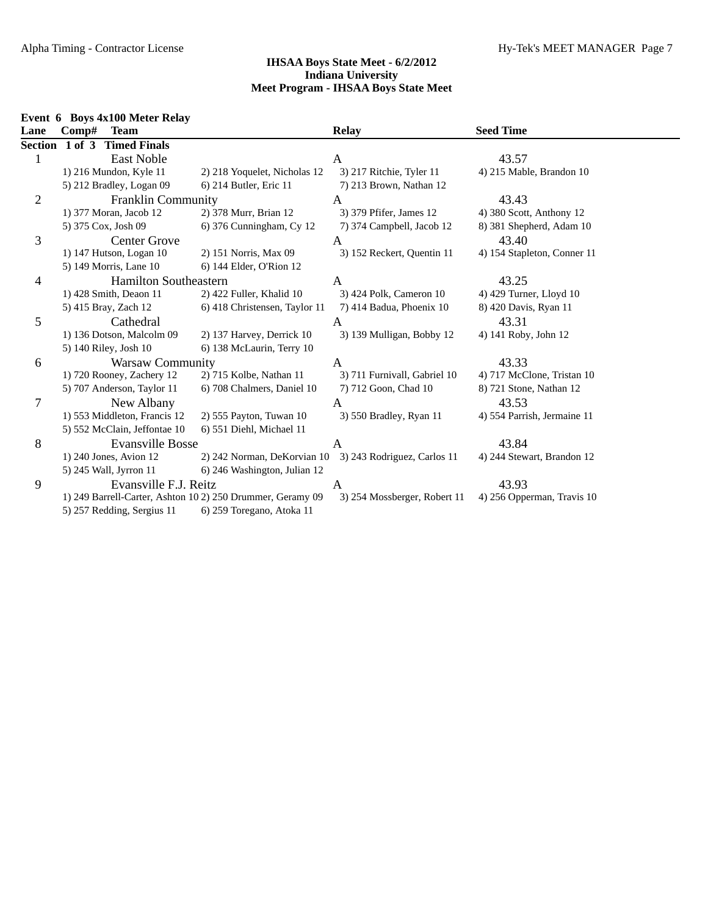|                |            | Event 6 Boys 4x100 Meter Relay |                                                            |                                                         |                             |
|----------------|------------|--------------------------------|------------------------------------------------------------|---------------------------------------------------------|-----------------------------|
| Lane           | Comp# Team |                                |                                                            | <b>Relay</b>                                            | <b>Seed Time</b>            |
|                |            | Section 1 of 3 Timed Finals    |                                                            |                                                         |                             |
|                |            | East Noble                     |                                                            | A                                                       | 43.57                       |
|                |            | 1) 216 Mundon, Kyle 11         | 2) 218 Yoquelet, Nicholas 12                               | 3) 217 Ritchie, Tyler 11                                | 4) 215 Mable, Brandon 10    |
|                |            | 5) 212 Bradley, Logan 09       | 6) 214 Butler, Eric 11                                     | 7) 213 Brown, Nathan 12                                 |                             |
| 2              |            | <b>Franklin Community</b>      |                                                            | A                                                       | 43.43                       |
|                |            | 1) 377 Moran, Jacob 12         | 2) 378 Murr, Brian 12                                      | 3) 379 Pfifer, James 12                                 | 4) 380 Scott, Anthony 12    |
|                |            | 5) 375 Cox, Josh 09            | 6) 376 Cunningham, Cy 12                                   | 7) 374 Campbell, Jacob 12                               | 8) 381 Shepherd, Adam 10    |
| 3              |            | <b>Center Grove</b>            |                                                            | A                                                       | 43.40                       |
|                |            | 1) 147 Hutson, Logan 10        | 2) 151 Norris, Max 09                                      | 3) 152 Reckert, Quentin 11                              | 4) 154 Stapleton, Conner 11 |
|                |            | 5) 149 Morris, Lane 10         | 6) 144 Elder, O'Rion 12                                    |                                                         |                             |
| 4              |            | <b>Hamilton Southeastern</b>   |                                                            | A                                                       | 43.25                       |
|                |            | 1) 428 Smith, Deaon 11         | 2) 422 Fuller, Khalid 10                                   | 3) 424 Polk, Cameron 10                                 | 4) 429 Turner, Lloyd 10     |
|                |            | 5) 415 Bray, Zach 12           | 6) 418 Christensen, Taylor 11                              | 7) 414 Badua, Phoenix 10                                | 8) 420 Davis, Ryan 11       |
| 5              |            | Cathedral                      |                                                            | A                                                       | 43.31                       |
|                |            | 1) 136 Dotson, Malcolm 09      | 2) 137 Harvey, Derrick 10                                  | 3) 139 Mulligan, Bobby 12                               | 4) 141 Roby, John 12        |
|                |            | 5) 140 Riley, Josh 10          | 6) 138 McLaurin, Terry 10                                  |                                                         |                             |
| 6              |            | <b>Warsaw Community</b>        |                                                            | A                                                       | 43.33                       |
|                |            | 1) 720 Rooney, Zachery 12      | 2) 715 Kolbe, Nathan 11                                    | 3) 711 Furnivall, Gabriel 10                            | 4) 717 McClone, Tristan 10  |
|                |            | 5) 707 Anderson, Taylor 11     | 6) 708 Chalmers, Daniel 10                                 | 7) 712 Goon, Chad 10                                    | 8) 721 Stone, Nathan 12     |
| $\overline{7}$ |            | New Albany                     |                                                            | A                                                       | 43.53                       |
|                |            | 1) 553 Middleton, Francis 12   | 2) 555 Payton, Tuwan 10                                    | 3) 550 Bradley, Ryan 11                                 | 4) 554 Parrish, Jermaine 11 |
|                |            | 5) 552 McClain, Jeffontae 10   | 6) 551 Diehl, Michael 11                                   |                                                         |                             |
| 8              |            | <b>Evansville Bosse</b>        |                                                            | A                                                       | 43.84                       |
|                |            | 1) 240 Jones, Avion 12         |                                                            | 2) 242 Norman, DeKorvian 10 3) 243 Rodriguez, Carlos 11 | 4) 244 Stewart, Brandon 12  |
|                |            | 5) 245 Wall, Jyrron 11         | 6) 246 Washington, Julian 12                               |                                                         |                             |
| 9              |            | Evansville F.J. Reitz          |                                                            | A                                                       | 43.93                       |
|                |            |                                | 1) 249 Barrell-Carter, Ashton 10 2) 250 Drummer, Geramy 09 | 3) 254 Mossberger, Robert 11                            | 4) 256 Opperman, Travis 10  |
|                |            | 5) 257 Redding, Sergius 11     | 6) 259 Toregano, Atoka 11                                  |                                                         |                             |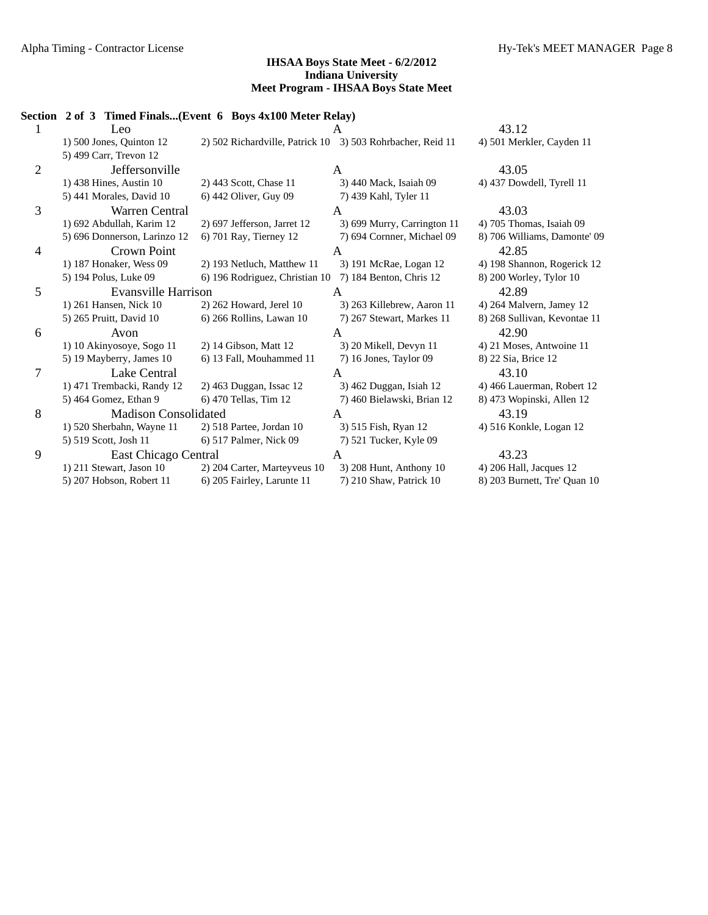|              | Section 2 of 3 Timed Finals(Event 6 Boys 4x100 Meter Relay) |                                                            |                             |                              |
|--------------|-------------------------------------------------------------|------------------------------------------------------------|-----------------------------|------------------------------|
|              | Leo                                                         |                                                            |                             | 43.12                        |
|              | 1) 500 Jones, Quinton 12                                    | 2) 502 Richardville, Patrick 10 3) 503 Rohrbacher, Reid 11 |                             | 4) 501 Merkler, Cayden 11    |
|              | 5) 499 Carr, Trevon 12                                      |                                                            |                             |                              |
| $\mathbf{2}$ | Jeffersonville                                              |                                                            | A                           | 43.05                        |
|              | 1) 438 Hines, Austin 10                                     | 2) 443 Scott, Chase 11                                     | 3) 440 Mack, Isaiah 09      | 4) 437 Dowdell, Tyrell 11    |
|              | 5) 441 Morales, David 10                                    | 6) 442 Oliver, Guy 09                                      | 7) 439 Kahl, Tyler 11       |                              |
| 3            | Warren Central                                              |                                                            | A                           | 43.03                        |
|              | 1) 692 Abdullah, Karim 12                                   | 2) 697 Jefferson, Jarret 12                                | 3) 699 Murry, Carrington 11 | 4) 705 Thomas, Isaiah 09     |
|              | 5) 696 Donnerson, Larinzo 12                                | 6) 701 Ray, Tierney 12                                     | 7) 694 Cornner, Michael 09  | 8) 706 Williams, Damonte' 09 |
| 4            | Crown Point                                                 |                                                            | A                           | 42.85                        |
|              | 1) 187 Honaker, Wess 09                                     | 2) 193 Netluch, Matthew 11                                 | 3) 191 McRae, Logan 12      | 4) 198 Shannon, Rogerick 12  |
|              | 5) 194 Polus, Luke 09                                       | 6) 196 Rodriguez, Christian 10                             | 7) 184 Benton, Chris 12     | 8) 200 Worley, Tylor 10      |
| 5            | Evansville Harrison                                         |                                                            | A                           | 42.89                        |
|              | 1) 261 Hansen, Nick 10                                      | 2) 262 Howard, Jerel 10                                    | 3) 263 Killebrew, Aaron 11  | 4) 264 Malvern, Jamey 12     |
|              | 5) 265 Pruitt, David 10                                     | 6) 266 Rollins, Lawan 10                                   | 7) 267 Stewart, Markes 11   | 8) 268 Sullivan, Kevontae 11 |
| 6            | Avon                                                        |                                                            | A                           | 42.90                        |
|              | 1) 10 Akinyosoye, Sogo 11                                   | 2) 14 Gibson, Matt 12                                      | 3) 20 Mikell, Devyn 11      | 4) 21 Moses, Antwoine 11     |
|              | 5) 19 Mayberry, James 10                                    | 6) 13 Fall, Mouhammed 11                                   | 7) 16 Jones, Taylor 09      | 8) 22 Sia, Brice 12          |
| 7            | Lake Central                                                |                                                            | A                           | 43.10                        |
|              | 1) 471 Trembacki, Randy 12                                  | 2) 463 Duggan, Issac 12                                    | 3) 462 Duggan, Isiah 12     | 4) 466 Lauerman, Robert 12   |
|              | 5) 464 Gomez, Ethan 9                                       | 6) 470 Tellas, Tim 12                                      | 7) 460 Bielawski, Brian 12  | 8) 473 Wopinski, Allen 12    |
| 8            | <b>Madison Consolidated</b>                                 |                                                            | A                           | 43.19                        |
|              | 1) 520 Sherbahn, Wayne 11                                   | 2) 518 Partee, Jordan 10                                   | 3) 515 Fish, Ryan 12        | 4) 516 Konkle, Logan 12      |
|              | 5) 519 Scott, Josh 11                                       | 6) 517 Palmer, Nick 09                                     | 7) 521 Tucker, Kyle 09      |                              |
| 9            | East Chicago Central                                        |                                                            | A                           | 43.23                        |
|              | 1) 211 Stewart, Jason 10                                    | 2) 204 Carter, Marteyveus 10                               | 3) 208 Hunt, Anthony 10     | 4) 206 Hall, Jacques 12      |
|              | 5) 207 Hobson, Robert 11                                    | 6) 205 Fairley, Larunte 11                                 | 7) 210 Shaw, Patrick 10     | 8) 203 Burnett, Tre' Quan 10 |
|              |                                                             |                                                            |                             |                              |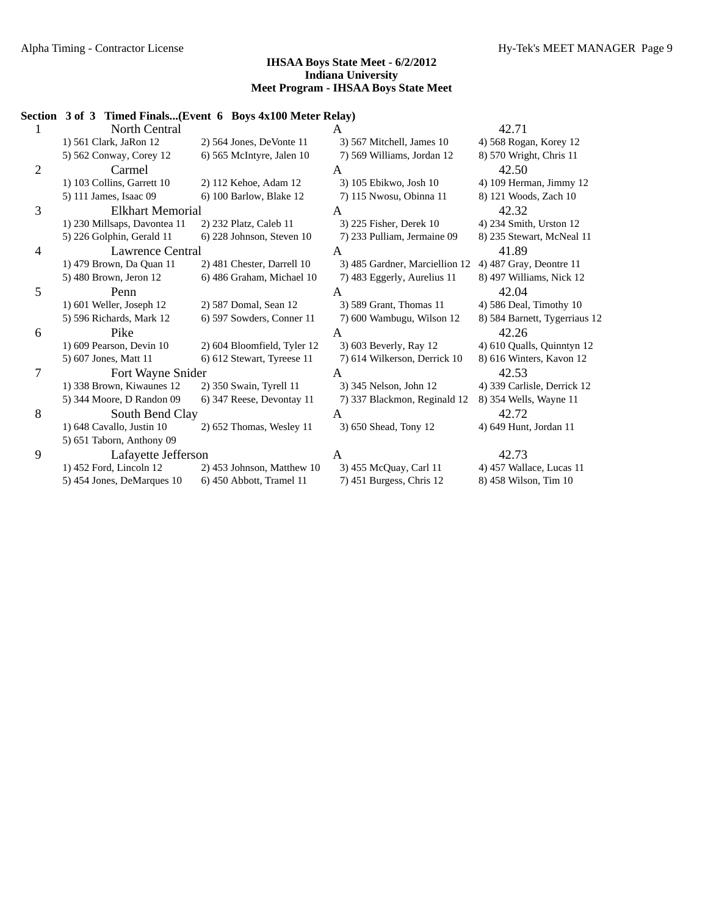## **Section 3 of 3 Timed Finals...(Event 6 Boys 4x100 Meter Relay)** 1 North Central A 42.71 1) 561 Clark, JaRon 12 2) 564 Jones, DeVonte 11 3) 567 Mitchell, James 10 4) 568 Rogan, Korey 12 5) 562 Conway, Corey 12 6) 565 McIntyre, Jalen 10 7) 569 Williams, Jordan 12 8) 570 Wright, Chris 11 2 Carmel A 42.50 1) 103 Collins, Garrett 10 2) 112 Kehoe, Adam 12 3) 105 Ebikwo, Josh 10 4) 109 Herman, Jimmy 12 5) 111 James, Isaac 09 6) 100 Barlow, Blake 12 7) 115 Nwosu, Obinna 11 8) 121 Woods, Zach 10 3 Elkhart Memorial A 42.32 1) 230 Millsaps, Davontea 11 2) 232 Platz, Caleb 11 3) 225 Fisher, Derek 10 4) 234 Smith, Urston 12 5) 226 Golphin, Gerald 11 6) 228 Johnson, Steven 10 7) 233 Pulliam, Jermaine 09 8) 235 Stewart, McNeal 11 4 Lawrence Central A 41.89 1) 479 Brown, Da Quan 11 2) 481 Chester, Darrell 10 3) 485 Gardner, Marciellion 12 4) 487 Gray, Deontre 11 5) 480 Brown, Jeron 12 6) 486 Graham, Michael 10 7) 483 Eggerly, Aurelius 11 8) 497 Williams, Nick 12 5 Penn A 42.04 1) 601 Weller, Joseph 12 2) 587 Domal, Sean 12 3) 589 Grant, Thomas 11 4) 586 Deal, Timothy 10 5) 596 Richards, Mark 12 6) 597 Sowders, Conner 11 7) 600 Wambugu, Wilson 12 8) 584 Barnett, Tygerriaus 12 6 Pike A 42.26 1) 609 Pearson, Devin 10 2) 604 Bloomfield, Tyler 12 3) 603 Beverly, Ray 12 4) 610 Qualls, Quinntyn 12 5) 607 Jones, Matt 11 6) 612 Stewart, Tyreese 11 7) 614 Wilkerson, Derrick 10 8) 616 Winters, Kavon 12 7 Fort Wayne Snider A 42.53 1) 338 Brown, Kiwaunes 12 2) 350 Swain, Tyrell 11 3) 345 Nelson, John 12 4) 339 Carlisle, Derrick 12 5) 344 Moore, D Randon 09 6) 347 Reese, Devontay 11 7) 337 Blackmon, Reginald 12 8) 354 Wells, Wayne 11 8 South Bend Clay A 42.72 1) 648 Cavallo, Justin 10 2) 652 Thomas, Wesley 11 3) 650 Shead, Tony 12 4) 649 Hunt, Jordan 11 5) 651 Taborn, Anthony 09 9 Lafayette Jefferson A 42.73 1) 452 Ford, Lincoln 12 2) 453 Johnson, Matthew 10 3) 455 McQuay, Carl 11 4) 457 Wallace, Lucas 11 5) 454 Jones, DeMarques 10 6) 450 Abbott, Tramel 11 7) 451 Burgess, Chris 12 8) 458 Wilson, Tim 10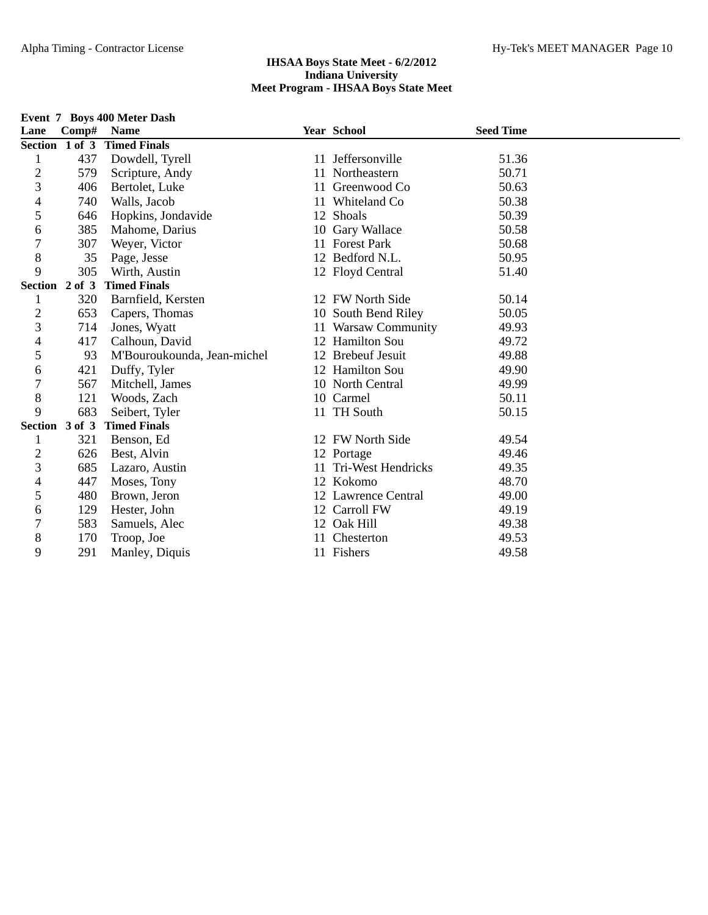|                |                | Event 7 Boys 400 Meter Dash |                       |                  |  |
|----------------|----------------|-----------------------------|-----------------------|------------------|--|
| Lane           | Comp# Name     |                             | Year School           | <b>Seed Time</b> |  |
|                | Section 1 of 3 | <b>Timed Finals</b>         |                       |                  |  |
| 1              | 437            | Dowdell, Tyrell             | 11 Jeffersonville     | 51.36            |  |
| $\overline{c}$ | 579            | Scripture, Andy             | 11 Northeastern       | 50.71            |  |
| 3              | 406            | Bertolet, Luke              | 11 Greenwood Co       | 50.63            |  |
| 4              | 740            | Walls, Jacob                | 11 Whiteland Co       | 50.38            |  |
| 5              | 646            | Hopkins, Jondavide          | 12 Shoals             | 50.39            |  |
| 6              | 385            | Mahome, Darius              | 10 Gary Wallace       | 50.58            |  |
| 7              | 307            | Weyer, Victor               | 11 Forest Park        | 50.68            |  |
| 8              | 35             | Page, Jesse                 | 12 Bedford N.L.       | 50.95            |  |
| 9              | 305            | Wirth, Austin               | 12 Floyd Central      | 51.40            |  |
|                | Section 2 of 3 | <b>Timed Finals</b>         |                       |                  |  |
| 1              | 320            | Barnfield, Kersten          | 12 FW North Side      | 50.14            |  |
| $\overline{c}$ | 653            | Capers, Thomas              | 10 South Bend Riley   | 50.05            |  |
| 3              | 714            | Jones, Wyatt                | 11 Warsaw Community   | 49.93            |  |
| 4              | 417            | Calhoun, David              | 12 Hamilton Sou       | 49.72            |  |
| 5              | 93             | M'Bouroukounda, Jean-michel | 12 Brebeuf Jesuit     | 49.88            |  |
| 6              | 421            | Duffy, Tyler                | 12 Hamilton Sou       | 49.90            |  |
| 7              | 567            | Mitchell, James             | 10 North Central      | 49.99            |  |
| 8              | 121            | Woods, Zach                 | 10 Carmel             | 50.11            |  |
| 9              | 683            | Seibert, Tyler              | 11 TH South           | 50.15            |  |
|                | Section 3 of 3 | <b>Timed Finals</b>         |                       |                  |  |
| 1              | 321            | Benson, Ed                  | 12 FW North Side      | 49.54            |  |
| $\overline{c}$ | 626            | Best, Alvin                 | 12 Portage            | 49.46            |  |
| 3              | 685            | Lazaro, Austin              | 11 Tri-West Hendricks | 49.35            |  |
| 4              | 447            | Moses, Tony                 | 12 Kokomo             | 48.70            |  |
| 5              | 480            | Brown, Jeron                | 12 Lawrence Central   | 49.00            |  |
| 6              | 129            | Hester, John                | 12 Carroll FW         | 49.19            |  |
| 7              | 583            | Samuels, Alec               | 12 Oak Hill           | 49.38            |  |
| 8              | 170            | Troop, Joe                  | Chesterton            | 49.53            |  |
| 9              | 291            | Manley, Diquis              | 11 Fishers            | 49.58            |  |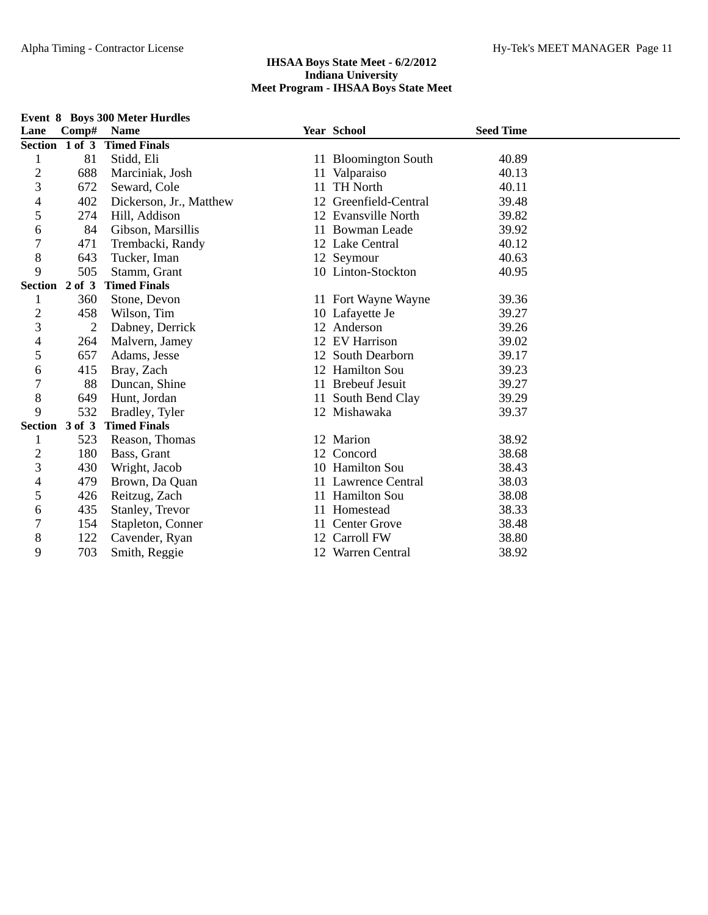| Lane           | Comp#          | <b>Name</b>             |    | Year School           | <b>Seed Time</b> |  |
|----------------|----------------|-------------------------|----|-----------------------|------------------|--|
|                | Section 1 of 3 | <b>Timed Finals</b>     |    |                       |                  |  |
| 1              | 81             | Stidd, Eli              |    | 11 Bloomington South  | 40.89            |  |
| $\mathbf 2$    | 688            | Marciniak, Josh         | 11 | Valparaiso            | 40.13            |  |
| 3              | 672            | Seward, Cole            |    | <b>TH North</b>       | 40.11            |  |
| 4              | 402            | Dickerson, Jr., Matthew |    | 12 Greenfield-Central | 39.48            |  |
| 5              | 274            | Hill, Addison           |    | 12 Evansville North   | 39.82            |  |
| 6              | 84             | Gibson, Marsillis       |    | 11 Bowman Leade       | 39.92            |  |
| $\overline{7}$ | 471            | Trembacki, Randy        |    | 12 Lake Central       | 40.12            |  |
| 8              | 643            | Tucker, Iman            |    | 12 Seymour            | 40.63            |  |
| 9              | 505            | Stamm, Grant            |    | 10 Linton-Stockton    | 40.95            |  |
|                | Section 2 of 3 | <b>Timed Finals</b>     |    |                       |                  |  |
| 1              | 360            | Stone, Devon            |    | 11 Fort Wayne Wayne   | 39.36            |  |
| $\mathbf{2}$   | 458            | Wilson, Tim             |    | 10 Lafayette Je       | 39.27            |  |
| 3              | $\overline{2}$ | Dabney, Derrick         |    | 12 Anderson           | 39.26            |  |
| 4              | 264            | Malvern, Jamey          |    | 12 EV Harrison        | 39.02            |  |
| 5              | 657            | Adams, Jesse            |    | 12 South Dearborn     | 39.17            |  |
| 6              | 415            | Bray, Zach              |    | 12 Hamilton Sou       | 39.23            |  |
| $\overline{7}$ | 88             | Duncan, Shine           |    | 11 Brebeuf Jesuit     | 39.27            |  |
| 8              | 649            | Hunt, Jordan            |    | 11 South Bend Clay    | 39.29            |  |
| 9              | 532            | Bradley, Tyler          |    | 12 Mishawaka          | 39.37            |  |
|                | Section 3 of 3 | <b>Timed Finals</b>     |    |                       |                  |  |
| 1              | 523            | Reason, Thomas          |    | 12 Marion             | 38.92            |  |
| $\overline{c}$ | 180            | Bass, Grant             |    | 12 Concord            | 38.68            |  |
| 3              | 430            | Wright, Jacob           |    | 10 Hamilton Sou       | 38.43            |  |
| 4              | 479            | Brown, Da Quan          |    | 11 Lawrence Central   | 38.03            |  |
| 5              | 426            | Reitzug, Zach           |    | 11 Hamilton Sou       | 38.08            |  |
| 6              | 435            | Stanley, Trevor         |    | 11 Homestead          | 38.33            |  |
| $\overline{7}$ | 154            | Stapleton, Conner       | 11 | <b>Center Grove</b>   | 38.48            |  |
| 8              | 122            | Cavender, Ryan          |    | Carroll FW            | 38.80            |  |
| 9              | 703            | Smith, Reggie           |    | 12 Warren Central     | 38.92            |  |

## **Event 8 Boys 300 Meter Hurdles**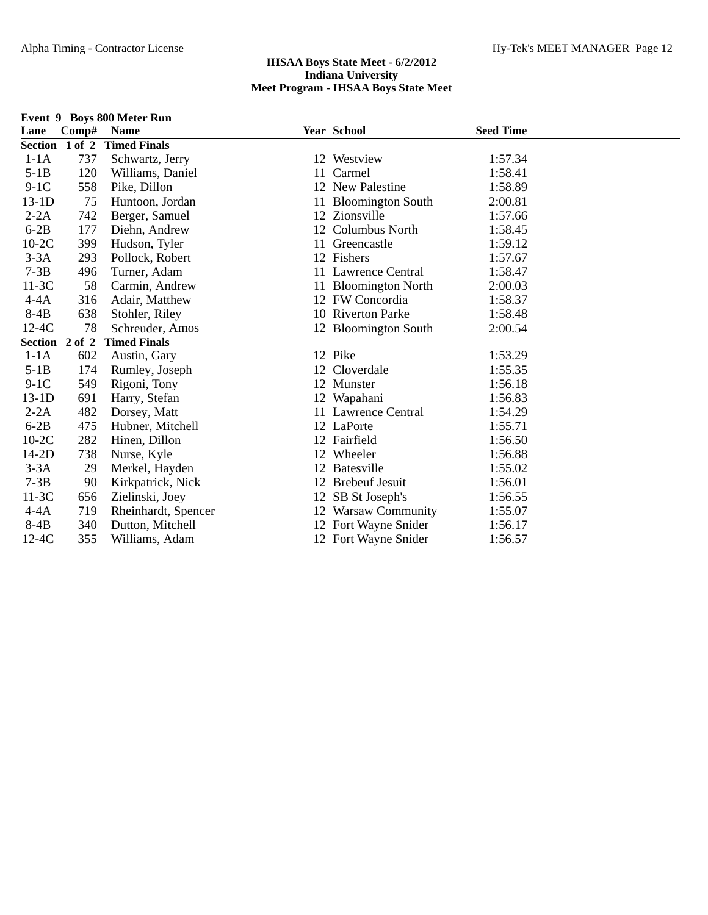|                |              | Event 9 Boys 800 Meter Run |    |                       |                  |  |
|----------------|--------------|----------------------------|----|-----------------------|------------------|--|
| Lane           | $\bf Comp\#$ | <b>Name</b>                |    | Year School           | <b>Seed Time</b> |  |
| Section 1 of 2 |              | <b>Timed Finals</b>        |    |                       |                  |  |
| $1-1A$         | 737          | Schwartz, Jerry            |    | 12 Westview           | 1:57.34          |  |
| $5-1B$         | 120          | Williams, Daniel           |    | 11 Carmel             | 1:58.41          |  |
| $9-1C$         | 558          | Pike, Dillon               |    | 12 New Palestine      | 1:58.89          |  |
| $13-1D$        | 75           | Huntoon, Jordan            |    | 11 Bloomington South  | 2:00.81          |  |
| $2-2A$         | 742          | Berger, Samuel             |    | 12 Zionsville         | 1:57.66          |  |
| $6-2B$         | 177          | Diehn, Andrew              |    | 12 Columbus North     | 1:58.45          |  |
| $10-2C$        | 399          | Hudson, Tyler              |    | 11 Greencastle        | 1:59.12          |  |
| $3-3A$         | 293          | Pollock, Robert            |    | 12 Fishers            | 1:57.67          |  |
| $7-3B$         | 496          | Turner, Adam               |    | 11 Lawrence Central   | 1:58.47          |  |
| $11-3C$        | 58           | Carmin, Andrew             |    | 11 Bloomington North  | 2:00.03          |  |
| $4 - 4A$       | 316          | Adair, Matthew             |    | 12 FW Concordia       | 1:58.37          |  |
| $8-4B$         | 638          | Stohler, Riley             |    | 10 Riverton Parke     | 1:58.48          |  |
| $12-4C$        | 78           | Schreuder, Amos            |    | 12 Bloomington South  | 2:00.54          |  |
| Section 2 of 2 |              | <b>Timed Finals</b>        |    |                       |                  |  |
| $1-1A$         | 602          | Austin, Gary               |    | 12 Pike               | 1:53.29          |  |
| $5-1B$         | 174          | Rumley, Joseph             |    | 12 Cloverdale         | 1:55.35          |  |
| $9-1C$         | 549          | Rigoni, Tony               |    | 12 Munster            | 1:56.18          |  |
| $13-1D$        | 691          | Harry, Stefan              |    | 12 Wapahani           | 1:56.83          |  |
| $2-2A$         | 482          | Dorsey, Matt               |    | 11 Lawrence Central   | 1:54.29          |  |
| $6-2B$         | 475          | Hubner, Mitchell           |    | 12 LaPorte            | 1:55.71          |  |
| $10-2C$        | 282          | Hinen, Dillon              |    | 12 Fairfield          | 1:56.50          |  |
| $14-2D$        | 738          | Nurse, Kyle                |    | 12 Wheeler            | 1:56.88          |  |
| $3-3A$         | 29           | Merkel, Hayden             |    | 12 Batesville         | 1:55.02          |  |
| $7-3B$         | 90           | Kirkpatrick, Nick          | 12 | <b>Brebeuf Jesuit</b> | 1:56.01          |  |
| $11-3C$        | 656          | Zielinski, Joey            | 12 | SB St Joseph's        | 1:56.55          |  |
| $4-4A$         | 719          | Rheinhardt, Spencer        |    | 12 Warsaw Community   | 1:55.07          |  |
| $8-4B$         | 340          | Dutton, Mitchell           |    | 12 Fort Wayne Snider  | 1:56.17          |  |
| $12-4C$        | 355          | Williams, Adam             |    | 12 Fort Wayne Snider  | 1:56.57          |  |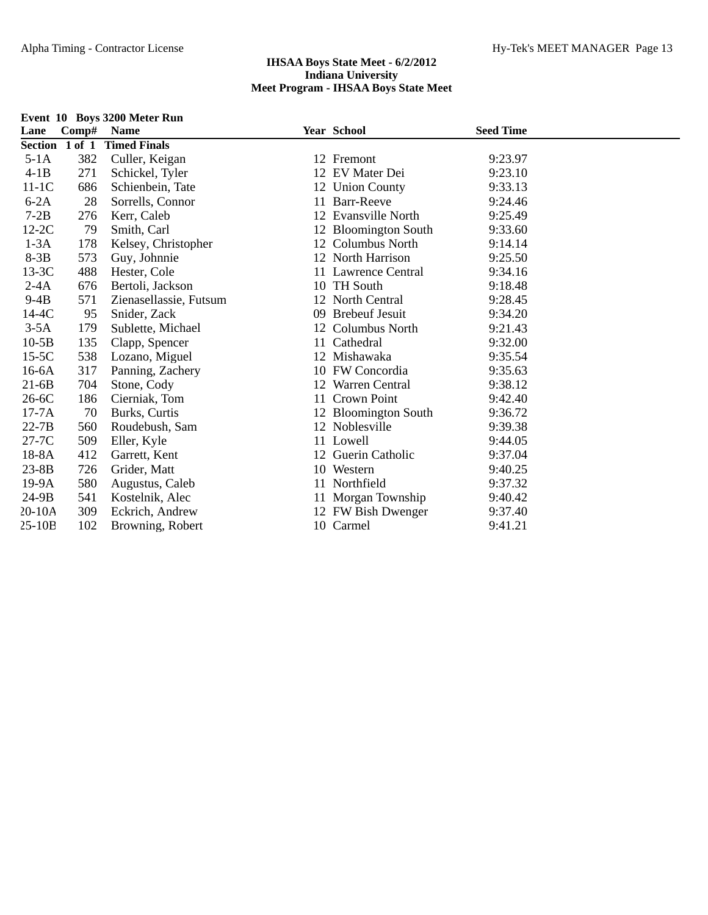|          |                | Event 10 Boys 3200 Meter Run |                      |                  |  |
|----------|----------------|------------------------------|----------------------|------------------|--|
| Lane     | Comp# Name     |                              | <b>Year School</b>   | <b>Seed Time</b> |  |
|          | Section 1 of 1 | <b>Timed Finals</b>          |                      |                  |  |
| $5-1A$   | 382            | Culler, Keigan               | 12 Fremont           | 9:23.97          |  |
| $4-1B$   | 271            | Schickel, Tyler              | 12 EV Mater Dei      | 9:23.10          |  |
| $11-1C$  | 686            | Schienbein, Tate             | 12 Union County      | 9:33.13          |  |
| $6-2A$   | 28             | Sorrells, Connor             | 11 Barr-Reeve        | 9:24.46          |  |
| $7-2B$   | 276            | Kerr, Caleb                  | 12 Evansville North  | 9:25.49          |  |
| $12-2C$  | 79             | Smith, Carl                  | 12 Bloomington South | 9:33.60          |  |
| $1-3A$   | 178            | Kelsey, Christopher          | 12 Columbus North    | 9:14.14          |  |
| $8-3B$   | 573            | Guy, Johnnie                 | 12 North Harrison    | 9:25.50          |  |
| $13-3C$  | 488            | Hester, Cole                 | 11 Lawrence Central  | 9:34.16          |  |
| $2-4A$   | 676            | Bertoli, Jackson             | 10 TH South          | 9:18.48          |  |
| $9-4B$   | 571            | Zienasellassie, Futsum       | 12 North Central     | 9:28.45          |  |
| $14-4C$  | 95             | Snider, Zack                 | 09 Brebeuf Jesuit    | 9:34.20          |  |
| $3-5A$   | 179            | Sublette, Michael            | 12 Columbus North    | 9:21.43          |  |
| $10-5B$  | 135            | Clapp, Spencer               | 11 Cathedral         | 9:32.00          |  |
| $15-5C$  | 538            | Lozano, Miguel               | 12 Mishawaka         | 9:35.54          |  |
| $16-6A$  | 317            | Panning, Zachery             | 10 FW Concordia      | 9:35.63          |  |
| $21-6B$  | 704            | Stone, Cody                  | 12 Warren Central    | 9:38.12          |  |
| $26-6C$  | 186            | Cierniak, Tom                | 11 Crown Point       | 9:42.40          |  |
| $17-7A$  | 70             | Burks, Curtis                | 12 Bloomington South | 9:36.72          |  |
| $22-7B$  | 560            | Roudebush, Sam               | 12 Noblesville       | 9:39.38          |  |
| $27-7C$  | 509            | Eller, Kyle                  | 11 Lowell            | 9:44.05          |  |
| $18-8A$  | 412            | Garrett, Kent                | 12 Guerin Catholic   | 9:37.04          |  |
| $23-8B$  | 726            | Grider, Matt                 | 10 Western           | 9:40.25          |  |
| $19-9A$  | 580            | Augustus, Caleb              | 11 Northfield        | 9:37.32          |  |
| $24-9B$  | 541            | Kostelnik, Alec              | 11 Morgan Township   | 9:40.42          |  |
| $20-10A$ | 309            | Eckrich, Andrew              | 12 FW Bish Dwenger   | 9:37.40          |  |
| $25-10B$ | 102            | Browning, Robert             | 10 Carmel            | 9:41.21          |  |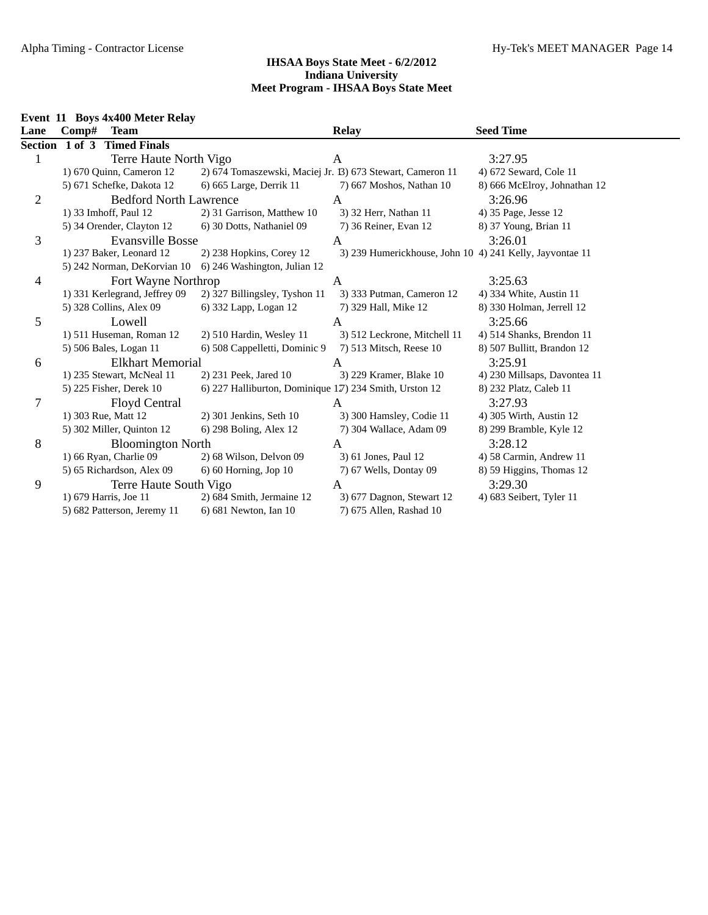| Event 11 Boys 4x400 Meter Relay |
|---------------------------------|
|---------------------------------|

|                | Event 11 Boys 4x400 Meter Relay |  |       |                               |                                                            |                                                          |                              |  |
|----------------|---------------------------------|--|-------|-------------------------------|------------------------------------------------------------|----------------------------------------------------------|------------------------------|--|
| Lane           |                                 |  | Comp# | <b>Team</b>                   |                                                            | <b>Relay</b>                                             | <b>Seed Time</b>             |  |
|                |                                 |  |       | Section 1 of 3 Timed Finals   |                                                            |                                                          |                              |  |
| 1              |                                 |  |       | Terre Haute North Vigo        |                                                            | A                                                        | 3:27.95                      |  |
|                |                                 |  |       | 1) 670 Quinn, Cameron 12      | 2) 674 Tomaszewski, Maciej Jr. 13) 673 Stewart, Cameron 11 |                                                          | 4) 672 Seward, Cole 11       |  |
|                |                                 |  |       | 5) 671 Schefke, Dakota 12     | 6) 665 Large, Derrik 11                                    | 7) 667 Moshos, Nathan 10                                 | 8) 666 McElroy, Johnathan 12 |  |
| $\mathbf{2}$   |                                 |  |       | <b>Bedford North Lawrence</b> |                                                            | A                                                        | 3:26.96                      |  |
|                |                                 |  |       | 1) 33 Imhoff, Paul 12         | 2) 31 Garrison, Matthew 10                                 | 3) 32 Herr, Nathan 11                                    | 4) 35 Page, Jesse 12         |  |
|                |                                 |  |       | 5) 34 Orender, Clayton 12     | 6) 30 Dotts, Nathaniel 09                                  | 7) 36 Reiner, Evan 12                                    | 8) 37 Young, Brian 11        |  |
| 3              |                                 |  |       | <b>Evansville Bosse</b>       |                                                            | A                                                        | 3:26.01                      |  |
|                |                                 |  |       | 1) 237 Baker, Leonard 12      | 2) 238 Hopkins, Corey 12                                   | 3) 239 Humerickhouse, John 10 4) 241 Kelly, Jayvontae 11 |                              |  |
|                |                                 |  |       | 5) 242 Norman, DeKorvian 10   | 6) 246 Washington, Julian 12                               |                                                          |                              |  |
| $\overline{4}$ |                                 |  |       | Fort Wayne Northrop           |                                                            | A                                                        | 3:25.63                      |  |
|                |                                 |  |       | 1) 331 Kerlegrand, Jeffrey 09 | 2) 327 Billingsley, Tyshon 11                              | 3) 333 Putman, Cameron 12                                | 4) 334 White, Austin 11      |  |
|                |                                 |  |       | 5) 328 Collins, Alex 09       | 6) 332 Lapp, Logan 12                                      | 7) 329 Hall, Mike 12                                     | 8) 330 Holman, Jerrell 12    |  |
| 5              |                                 |  |       | Lowell                        |                                                            | A                                                        | 3:25.66                      |  |
|                |                                 |  |       | 1) 511 Huseman, Roman 12      | 2) 510 Hardin, Wesley 11                                   | 3) 512 Leckrone, Mitchell 11                             | 4) 514 Shanks, Brendon 11    |  |
|                |                                 |  |       | 5) 506 Bales, Logan 11        | 6) 508 Cappelletti, Dominic 9                              | 7) 513 Mitsch, Reese 10                                  | 8) 507 Bullitt, Brandon 12   |  |
| 6              |                                 |  |       | <b>Elkhart Memorial</b>       |                                                            | A                                                        | 3:25.91                      |  |
|                |                                 |  |       | 1) 235 Stewart, McNeal 11     | 2) 231 Peek, Jared 10                                      | 3) 229 Kramer, Blake 10                                  | 4) 230 Millsaps, Davontea 11 |  |
|                |                                 |  |       | 5) 225 Fisher, Derek 10       | 6) 227 Halliburton, Dominique 17) 234 Smith, Urston 12     |                                                          | 8) 232 Platz, Caleb 11       |  |
| $\tau$         |                                 |  |       | <b>Floyd Central</b>          |                                                            | A                                                        | 3:27.93                      |  |
|                |                                 |  |       | 1) 303 Rue, Matt 12           | 2) 301 Jenkins, Seth 10                                    | 3) 300 Hamsley, Codie 11                                 | 4) 305 Wirth, Austin 12      |  |
|                |                                 |  |       | 5) 302 Miller, Quinton 12     | 6) 298 Boling, Alex 12                                     | 7) 304 Wallace, Adam 09                                  | 8) 299 Bramble, Kyle 12      |  |
| 8              |                                 |  |       | <b>Bloomington North</b>      |                                                            | A                                                        | 3:28.12                      |  |
|                |                                 |  |       | 1) 66 Ryan, Charlie 09        | 2) 68 Wilson, Delvon 09                                    | 3) 61 Jones, Paul 12                                     | 4) 58 Carmin, Andrew 11      |  |
|                |                                 |  |       | 5) 65 Richardson, Alex 09     | $6$ ) 60 Horning, Jop 10                                   | 7) 67 Wells, Dontay 09                                   | 8) 59 Higgins, Thomas 12     |  |
| 9              |                                 |  |       | Terre Haute South Vigo        |                                                            | A                                                        | 3:29.30                      |  |
|                |                                 |  |       | 1) 679 Harris, Joe 11         | 2) 684 Smith, Jermaine 12                                  | 3) 677 Dagnon, Stewart 12                                | 4) 683 Seibert, Tyler 11     |  |
|                |                                 |  |       | 5) 682 Patterson, Jeremy 11   | 6) 681 Newton, Ian 10                                      | 7) 675 Allen, Rashad 10                                  |                              |  |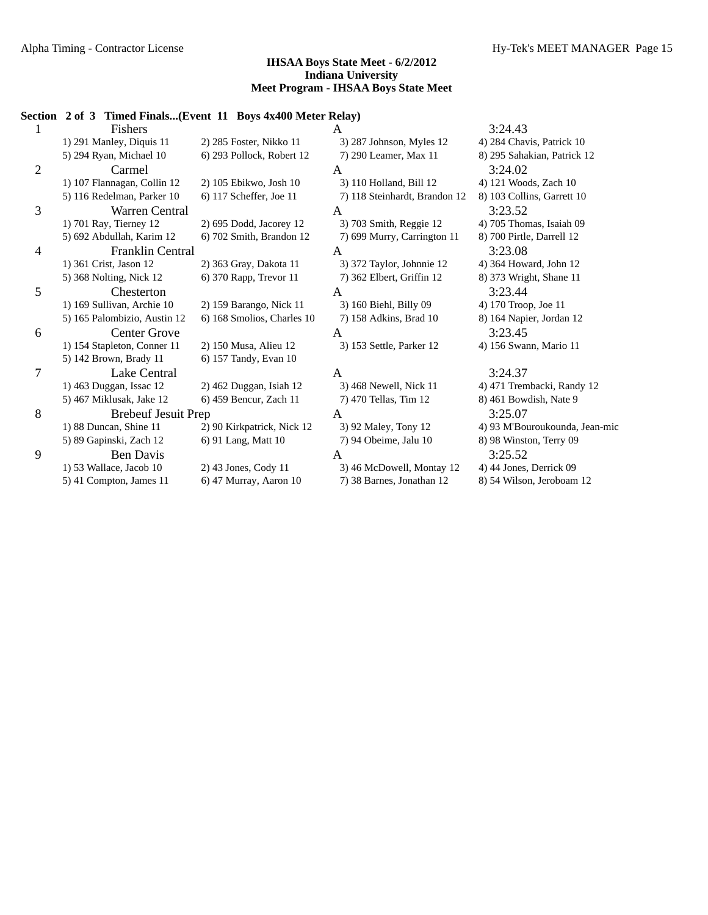# **Section 2 of 3 Timed Finals...(Event 11 Boys 4x400 Meter Relay)**

|   | Fishers                      |                            | A                             | 3:24.43                        |
|---|------------------------------|----------------------------|-------------------------------|--------------------------------|
|   | 1) 291 Manley, Diquis 11     | 2) 285 Foster, Nikko 11    | 3) 287 Johnson, Myles 12      | 4) 284 Chavis, Patrick 10      |
|   | 5) 294 Ryan, Michael 10      | 6) 293 Pollock, Robert 12  | 7) 290 Leamer, Max 11         | 8) 295 Sahakian, Patrick 12    |
| 2 | Carmel                       |                            | A                             | 3:24.02                        |
|   | 1) 107 Flannagan, Collin 12  | 2) 105 Ebikwo, Josh 10     | 3) 110 Holland, Bill 12       | 4) 121 Woods, Zach 10          |
|   | 5) 116 Redelman, Parker 10   | 6) 117 Scheffer, Joe 11    | 7) 118 Steinhardt, Brandon 12 | 8) 103 Collins, Garrett 10     |
| 3 | Warren Central               |                            | A                             | 3:23.52                        |
|   | 1) 701 Ray, Tierney 12       | 2) 695 Dodd, Jacorey 12    | 3) 703 Smith, Reggie 12       | 4) 705 Thomas, Isaiah 09       |
|   | 5) 692 Abdullah, Karim 12    | 6) 702 Smith, Brandon 12   | 7) 699 Murry, Carrington 11   | 8) 700 Pirtle, Darrell 12      |
| 4 | Franklin Central             |                            | A                             | 3:23.08                        |
|   | 1) 361 Crist, Jason 12       | 2) 363 Gray, Dakota 11     | 3) 372 Taylor, Johnnie 12     | 4) 364 Howard, John 12         |
|   | 5) 368 Nolting, Nick 12      | 6) 370 Rapp, Trevor 11     | 7) 362 Elbert, Griffin 12     | 8) 373 Wright, Shane 11        |
| 5 | Chesterton                   |                            | A                             | 3:23.44                        |
|   | 1) 169 Sullivan, Archie 10   | 2) 159 Barango, Nick 11    | 3) 160 Biehl, Billy 09        | 4) 170 Troop, Joe 11           |
|   | 5) 165 Palombizio, Austin 12 | 6) 168 Smolios, Charles 10 | 7) 158 Adkins, Brad 10        | 8) 164 Napier, Jordan 12       |
| 6 | <b>Center Grove</b>          |                            | A                             | 3:23.45                        |
|   | 1) 154 Stapleton, Conner 11  | 2) 150 Musa, Alieu 12      | 3) 153 Settle, Parker 12      | 4) 156 Swann, Mario 11         |
|   | 5) 142 Brown, Brady 11       | 6) 157 Tandy, Evan 10      |                               |                                |
| 7 | Lake Central                 |                            | A                             | 3:24.37                        |
|   | 1) 463 Duggan, Issac 12      | $2)$ 462 Duggan, Isiah 12  | 3) 468 Newell, Nick 11        | 4) 471 Trembacki, Randy 12     |
|   | 5) 467 Miklusak, Jake 12     | 6) 459 Bencur, Zach 11     | 7) 470 Tellas, Tim 12         | 8) 461 Bowdish, Nate 9         |
| 8 | <b>Brebeuf Jesuit Prep</b>   |                            | A                             | 3:25.07                        |
|   | 1) 88 Duncan, Shine 11       | 2) 90 Kirkpatrick, Nick 12 | 3) 92 Maley, Tony 12          | 4) 93 M'Bouroukounda, Jean-mic |
|   | 5) 89 Gapinski, Zach 12      | 6) 91 Lang, Matt 10        | 7) 94 Obeime, Jalu 10         | 8) 98 Winston, Terry 09        |
| 9 | <b>Ben Davis</b>             |                            | A                             | 3:25.52                        |
|   | 1) 53 Wallace, Jacob 10      | $2)$ 43 Jones, Cody 11     | 3) 46 McDowell, Montay 12     | 4) 44 Jones, Derrick 09        |
|   | 5) 41 Compton, James 11      | 6) 47 Murray, Aaron 10     | 7) 38 Barnes, Jonathan 12     | 8) 54 Wilson, Jeroboam 12      |
|   |                              |                            |                               |                                |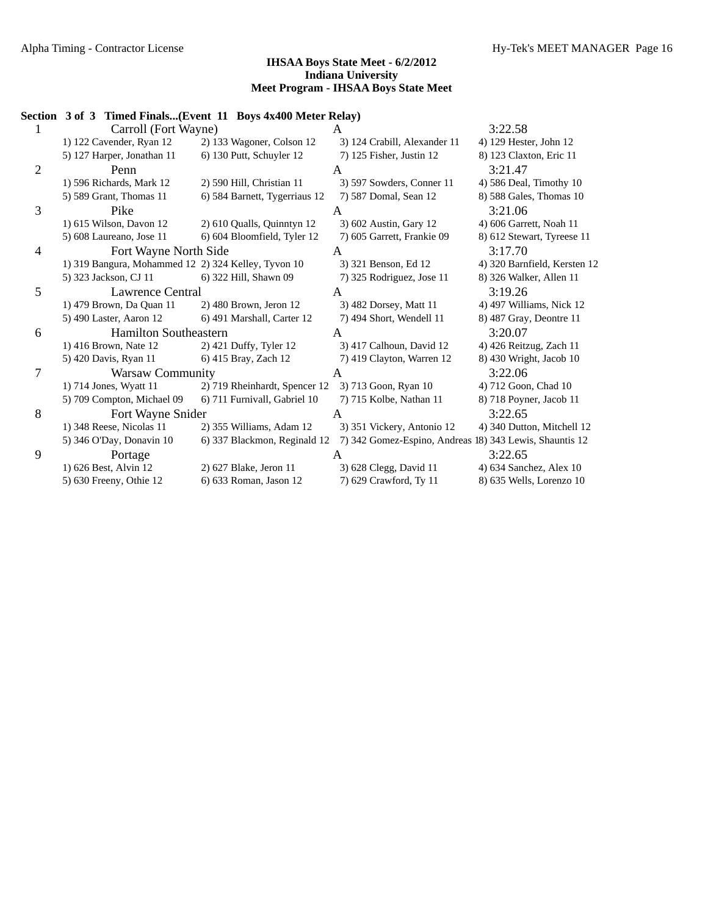|                | Section 3 of 3 Timed Finals(Event 11 Boys 4x400 Meter Relay) |                               |                                                         |                              |
|----------------|--------------------------------------------------------------|-------------------------------|---------------------------------------------------------|------------------------------|
| 1              | Carroll (Fort Wayne)                                         |                               | A                                                       | 3:22.58                      |
|                | 1) 122 Cavender, Ryan 12                                     | 2) 133 Wagoner, Colson 12     | 3) 124 Crabill, Alexander 11                            | 4) 129 Hester, John 12       |
|                | 5) 127 Harper, Jonathan 11                                   | 6) 130 Putt, Schuyler 12      | 7) 125 Fisher, Justin 12                                | 8) 123 Claxton, Eric 11      |
| $\overline{2}$ | Penn                                                         |                               | A                                                       | 3:21.47                      |
|                | 1) 596 Richards, Mark 12                                     | 2) 590 Hill, Christian 11     | 3) 597 Sowders, Conner 11                               | 4) 586 Deal, Timothy 10      |
|                | 5) 589 Grant, Thomas 11                                      | 6) 584 Barnett, Tygerriaus 12 | 7) 587 Domal, Sean 12                                   | 8) 588 Gales, Thomas 10      |
| 3              | Pike                                                         |                               | A                                                       | 3:21.06                      |
|                | 1) 615 Wilson, Davon 12                                      | 2) 610 Qualls, Quinntyn 12    | 3) 602 Austin, Gary 12                                  | 4) 606 Garrett, Noah 11      |
|                | 5) 608 Laureano, Jose 11                                     | 6) 604 Bloomfield, Tyler 12   | 7) 605 Garrett, Frankie 09                              | 8) 612 Stewart, Tyreese 11   |
| 4              | Fort Wayne North Side                                        |                               | A                                                       | 3:17.70                      |
|                | 1) 319 Bangura, Mohammed 12 2) 324 Kelley, Tyvon 10          |                               | 3) 321 Benson, Ed 12                                    | 4) 320 Barnfield, Kersten 12 |
|                | 5) 323 Jackson, CJ 11                                        | 6) 322 Hill, Shawn 09         | 7) 325 Rodriguez, Jose 11                               | 8) 326 Walker, Allen 11      |
| 5              | Lawrence Central                                             |                               | A                                                       | 3:19.26                      |
|                | 1) 479 Brown, Da Quan 11                                     | 2) 480 Brown, Jeron 12        | 3) 482 Dorsey, Matt 11                                  | 4) 497 Williams, Nick 12     |
|                | 5) 490 Laster, Aaron 12                                      | 6) 491 Marshall, Carter 12    | 7) 494 Short, Wendell 11                                | 8) 487 Gray, Deontre 11      |
| 6              | <b>Hamilton Southeastern</b>                                 |                               | $\overline{A}$                                          | 3:20.07                      |
|                | 1) 416 Brown, Nate 12                                        | 2) 421 Duffy, Tyler 12        | 3) 417 Calhoun, David 12                                | 4) 426 Reitzug, Zach 11      |
|                | 5) 420 Davis, Ryan 11                                        | 6) 415 Bray, Zach 12          | 7) 419 Clayton, Warren 12                               | 8) 430 Wright, Jacob 10      |
| 7              | <b>Warsaw Community</b>                                      |                               | A                                                       | 3:22.06                      |
|                | 1) 714 Jones, Wyatt 11                                       | 2) 719 Rheinhardt, Spencer 12 | 3) 713 Goon, Ryan 10                                    | 4) 712 Goon, Chad 10         |
|                | 5) 709 Compton, Michael 09                                   | 6) 711 Furnivall, Gabriel 10  | 7) 715 Kolbe, Nathan 11                                 | 8) 718 Poyner, Jacob 11      |
| 8              | Fort Wayne Snider                                            |                               | A                                                       | 3:22.65                      |
|                | 1) 348 Reese, Nicolas 11                                     | 2) 355 Williams, Adam 12      | 3) 351 Vickery, Antonio 12                              | 4) 340 Dutton, Mitchell 12   |
|                | 5) 346 O'Day, Donavin 10                                     | 6) 337 Blackmon, Reginald 12  | 7) 342 Gomez-Espino, Andreas 18) 343 Lewis, Shauntis 12 |                              |
| 9              | Portage                                                      |                               | A                                                       | 3:22.65                      |
|                | 1) 626 Best, Alvin 12                                        | 2) 627 Blake, Jeron 11        | 3) 628 Clegg, David 11                                  | 4) 634 Sanchez, Alex 10      |
|                | 5) 630 Freeny, Othie 12                                      | 6) 633 Roman, Jason 12        | 7) 629 Crawford, Ty 11                                  | 8) 635 Wells, Lorenzo 10     |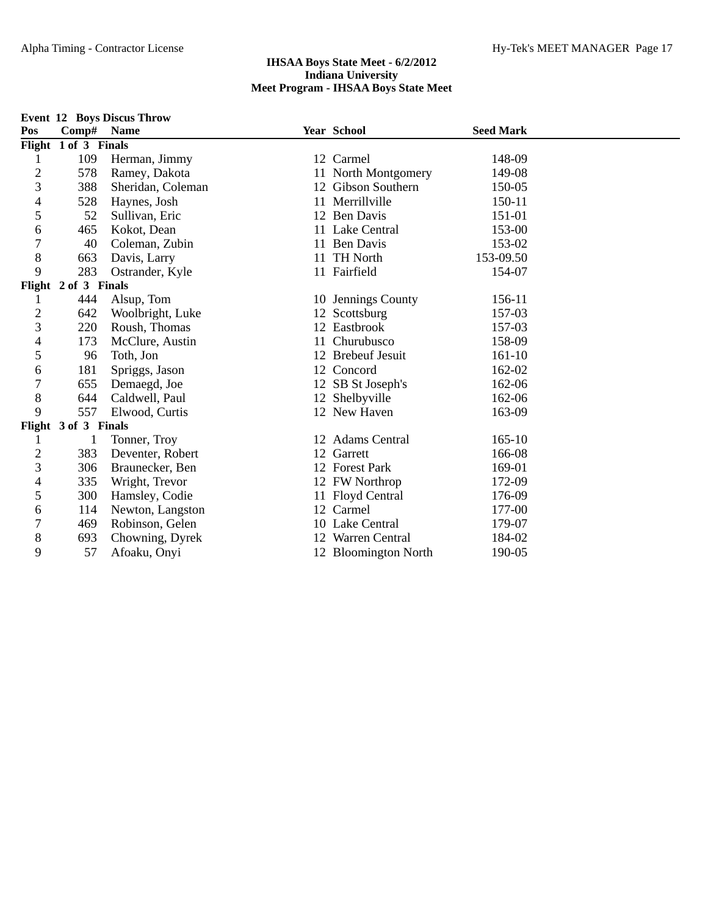|                |                      | <b>Event 12 Boys Discus Throw</b> |    |                      |                  |  |
|----------------|----------------------|-----------------------------------|----|----------------------|------------------|--|
| Pos            | Comp#                | <b>Name</b>                       |    | Year School          | <b>Seed Mark</b> |  |
|                | Flight 1 of 3 Finals |                                   |    |                      |                  |  |
| 1              | 109                  | Herman, Jimmy                     |    | 12 Carmel            | 148-09           |  |
| $\overline{c}$ | 578                  | Ramey, Dakota                     |    | 11 North Montgomery  | 149-08           |  |
| 3              | 388                  | Sheridan, Coleman                 |    | 12 Gibson Southern   | 150-05           |  |
| 4              | 528                  | Haynes, Josh                      |    | 11 Merrillville      | 150-11           |  |
| 5              | 52                   | Sullivan, Eric                    |    | 12 Ben Davis         | 151-01           |  |
| 6              | 465                  | Kokot, Dean                       |    | 11 Lake Central      | 153-00           |  |
| 7              | 40                   | Coleman, Zubin                    |    | 11 Ben Davis         | 153-02           |  |
| 8              | 663                  | Davis, Larry                      |    | 11 TH North          | 153-09.50        |  |
| 9              | 283                  | Ostrander, Kyle                   |    | 11 Fairfield         | 154-07           |  |
|                | Flight 2 of 3 Finals |                                   |    |                      |                  |  |
| 1              | 444                  | Alsup, Tom                        |    | 10 Jennings County   | 156-11           |  |
| $\overline{c}$ | 642                  | Woolbright, Luke                  |    | 12 Scottsburg        | 157-03           |  |
| 3              | 220                  | Roush, Thomas                     |    | 12 Eastbrook         | 157-03           |  |
| 4              | 173                  | McClure, Austin                   | 11 | Churubusco           | 158-09           |  |
| 5              | 96                   | Toth, Jon                         |    | 12 Brebeuf Jesuit    | 161-10           |  |
| 6              | 181                  | Spriggs, Jason                    |    | 12 Concord           | 162-02           |  |
| 7              | 655                  | Demaegd, Joe                      |    | 12 SB St Joseph's    | 162-06           |  |
| 8              | 644                  | Caldwell, Paul                    |    | 12 Shelbyville       | 162-06           |  |
| 9              | 557                  | Elwood, Curtis                    |    | 12 New Haven         | 163-09           |  |
|                | Flight 3 of 3 Finals |                                   |    |                      |                  |  |
| 1              |                      | Tonner, Troy                      |    | 12 Adams Central     | $165 - 10$       |  |
| $\overline{c}$ | 383                  | Deventer, Robert                  |    | 12 Garrett           | 166-08           |  |
| 3              | 306                  | Braunecker, Ben                   |    | 12 Forest Park       | 169-01           |  |
| 4              | 335                  | Wright, Trevor                    |    | 12 FW Northrop       | 172-09           |  |
| 5              | 300                  | Hamsley, Codie                    |    | 11 Floyd Central     | 176-09           |  |
| 6              | 114                  | Newton, Langston                  |    | 12 Carmel            | 177-00           |  |
| 7              | 469                  | Robinson, Gelen                   |    | 10 Lake Central      | 179-07           |  |
| 8              | 693                  | Chowning, Dyrek                   |    | 12 Warren Central    | 184-02           |  |
| 9              | 57                   | Afoaku, Onyi                      |    | 12 Bloomington North | 190-05           |  |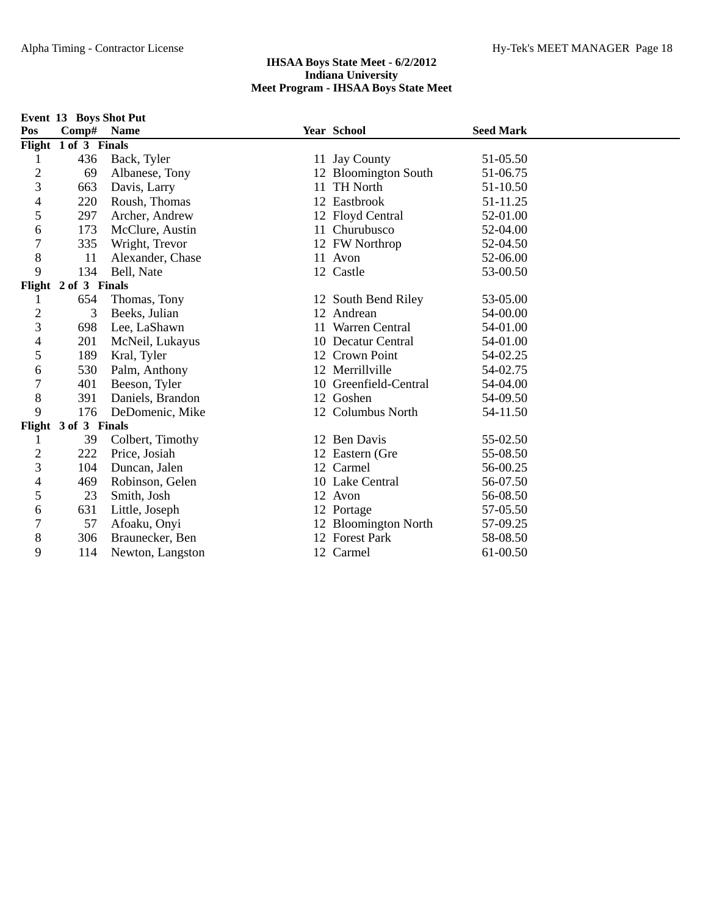|                          |                      | Event 13 Boys Shot Put |    |                      |                  |
|--------------------------|----------------------|------------------------|----|----------------------|------------------|
| Pos                      | Comp# Name           |                        |    | Year School          | <b>Seed Mark</b> |
|                          | Flight 1 of 3 Finals |                        |    |                      |                  |
| 1                        | 436                  | Back, Tyler            |    | 11 Jay County        | 51-05.50         |
| $\overline{\mathbf{c}}$  | 69                   | Albanese, Tony         |    | 12 Bloomington South | 51-06.75         |
| 3                        | 663                  | Davis, Larry           | 11 | <b>TH North</b>      | 51-10.50         |
| $\overline{\mathcal{A}}$ | 220                  | Roush, Thomas          |    | 12 Eastbrook         | 51-11.25         |
| 5                        | 297                  | Archer, Andrew         |    | 12 Floyd Central     | 52-01.00         |
| 6                        | 173                  | McClure, Austin        |    | 11 Churubusco        | 52-04.00         |
| $\overline{7}$           | 335                  | Wright, Trevor         |    | 12 FW Northrop       | 52-04.50         |
| 8                        | 11                   | Alexander, Chase       |    | 11 Avon              | 52-06.00         |
| 9                        | 134                  | Bell, Nate             |    | 12 Castle            | 53-00.50         |
|                          | Flight 2 of 3 Finals |                        |    |                      |                  |
| 1                        | 654                  | Thomas, Tony           |    | 12 South Bend Riley  | 53-05.00         |
| $\overline{c}$           | 3                    | Beeks, Julian          |    | 12 Andrean           | 54-00.00         |
| 3                        | 698                  | Lee, LaShawn           |    | 11 Warren Central    | 54-01.00         |
| $\overline{4}$           | 201                  | McNeil, Lukayus        |    | 10 Decatur Central   | 54-01.00         |
| 5                        | 189                  | Kral, Tyler            |    | 12 Crown Point       | 54-02.25         |
| 6                        | 530                  | Palm, Anthony          |    | 12 Merrillville      | 54-02.75         |
| $\boldsymbol{7}$         | 401                  | Beeson, Tyler          | 10 | Greenfield-Central   | 54-04.00         |
| $8\,$                    | 391                  | Daniels, Brandon       | 12 | Goshen               | 54-09.50         |
| 9                        | 176                  | DeDomenic, Mike        |    | 12 Columbus North    | 54-11.50         |
| Flight                   | 3 of 3 Finals        |                        |    |                      |                  |
| 1                        | 39                   | Colbert, Timothy       |    | 12 Ben Davis         | 55-02.50         |
| $\overline{c}$           | 222                  | Price, Josiah          |    | 12 Eastern (Gre      | 55-08.50         |
| 3                        | 104                  | Duncan, Jalen          |    | 12 Carmel            | 56-00.25         |
| 4                        | 469                  | Robinson, Gelen        |    | 10 Lake Central      | 56-07.50         |
| 5                        | 23                   | Smith, Josh            |    | 12 Avon              | 56-08.50         |
| 6                        | 631                  | Little, Joseph         |    | 12 Portage           | 57-05.50         |
| $\boldsymbol{7}$         | 57                   | Afoaku, Onyi           |    | 12 Bloomington North | 57-09.25         |
| $8\,$                    | 306                  | Braunecker, Ben        |    | 12 Forest Park       | 58-08.50         |
| 9                        | 114                  | Newton, Langston       |    | 12 Carmel            | 61-00.50         |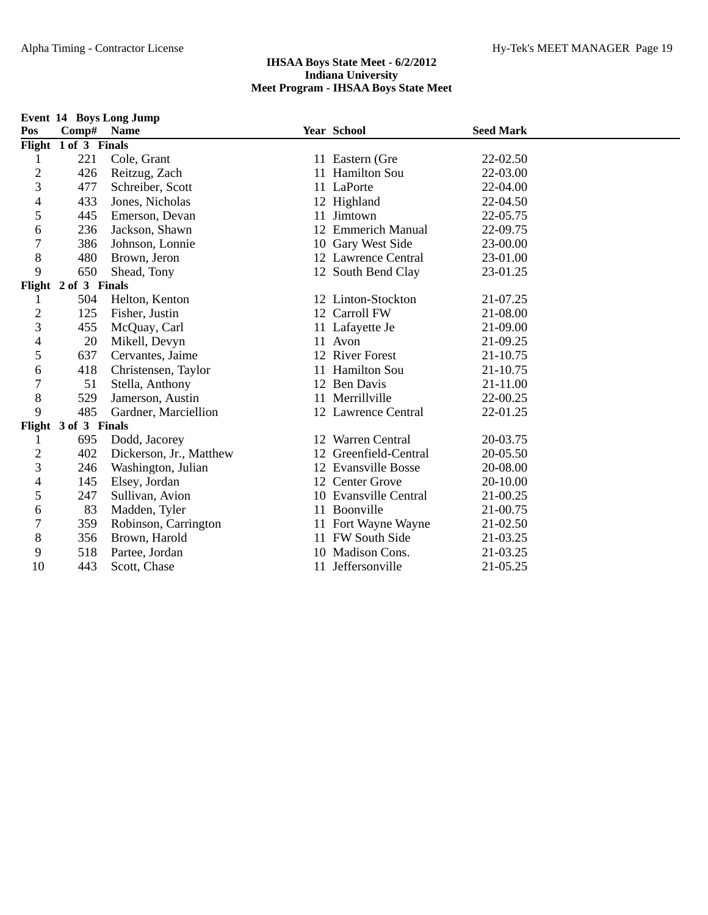|                          |                      | <b>Event 14 Boys Long Jump</b> |                       |                  |  |
|--------------------------|----------------------|--------------------------------|-----------------------|------------------|--|
| Pos                      |                      | Comp# Name                     | Year School           | <b>Seed Mark</b> |  |
|                          | Flight 1 of 3 Finals |                                |                       |                  |  |
| 1                        | 221                  | Cole, Grant                    | 11 Eastern (Gre       | 22-02.50         |  |
| $\overline{c}$           | 426                  | Reitzug, Zach                  | 11 Hamilton Sou       | 22-03.00         |  |
| 3                        | 477                  | Schreiber, Scott               | 11 LaPorte            | 22-04.00         |  |
| $\overline{4}$           | 433                  | Jones, Nicholas                | 12 Highland           | 22-04.50         |  |
| 5                        | 445                  | Emerson, Devan                 | 11 Jimtown            | 22-05.75         |  |
| 6                        | 236                  | Jackson, Shawn                 | 12 Emmerich Manual    | 22-09.75         |  |
| $\overline{7}$           | 386                  | Johnson, Lonnie                | 10 Gary West Side     | 23-00.00         |  |
| $8\,$                    | 480                  | Brown, Jeron                   | 12 Lawrence Central   | 23-01.00         |  |
| 9                        | 650                  | Shead, Tony                    | 12 South Bend Clay    | 23-01.25         |  |
|                          | Flight 2 of 3 Finals |                                |                       |                  |  |
| 1                        | 504                  | Helton, Kenton                 | 12 Linton-Stockton    | 21-07.25         |  |
| $\overline{c}$           | 125                  | Fisher, Justin                 | 12 Carroll FW         | 21-08.00         |  |
| 3                        | 455                  | McQuay, Carl                   | 11 Lafayette Je       | 21-09.00         |  |
| 4                        | 20                   | Mikell, Devyn                  | 11 Avon               | 21-09.25         |  |
| 5                        | 637                  | Cervantes, Jaime               | 12 River Forest       | 21-10.75         |  |
| 6                        | 418                  | Christensen, Taylor            | 11 Hamilton Sou       | 21-10.75         |  |
| $\overline{7}$           | 51                   | Stella, Anthony                | 12 Ben Davis          | 21-11.00         |  |
| 8                        | 529                  | Jamerson, Austin               | 11 Merrillville       | 22-00.25         |  |
| 9                        | 485                  | Gardner, Marciellion           | 12 Lawrence Central   | 22-01.25         |  |
|                          | Flight 3 of 3 Finals |                                |                       |                  |  |
| 1                        | 695                  | Dodd, Jacorey                  | 12 Warren Central     | 20-03.75         |  |
| $\overline{c}$           | 402                  | Dickerson, Jr., Matthew        | 12 Greenfield-Central | 20-05.50         |  |
| 3                        | 246                  | Washington, Julian             | 12 Evansville Bosse   | 20-08.00         |  |
| $\overline{\mathcal{A}}$ | 145                  | Elsey, Jordan                  | 12 Center Grove       | 20-10.00         |  |
| 5                        | 247                  | Sullivan, Avion                | 10 Evansville Central | 21-00.25         |  |
| 6                        | 83                   | Madden, Tyler                  | 11 Boonville          | 21-00.75         |  |
| $\overline{7}$           | 359                  | Robinson, Carrington           | 11 Fort Wayne Wayne   | 21-02.50         |  |
| $8\,$                    | 356                  | Brown, Harold                  | 11 FW South Side      | 21-03.25         |  |
| 9                        | 518                  | Partee, Jordan                 | 10 Madison Cons.      | 21-03.25         |  |
| 10                       | 443                  | Scott, Chase                   | 11 Jeffersonville     | 21-05.25         |  |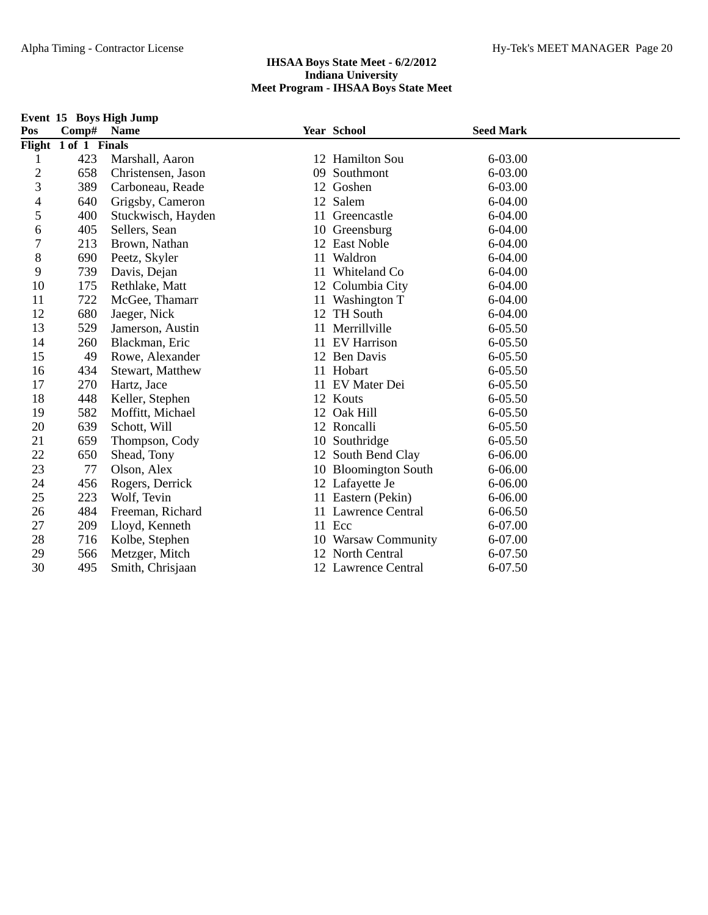|                |                      | Event 15 Boys High Jump |    |                      |                  |  |
|----------------|----------------------|-------------------------|----|----------------------|------------------|--|
| Pos            | Comp#                | <b>Name</b>             |    | <b>Year School</b>   | <b>Seed Mark</b> |  |
|                | Flight 1 of 1 Finals |                         |    |                      |                  |  |
| 1              | 423                  | Marshall, Aaron         |    | 12 Hamilton Sou      | 6-03.00          |  |
| $\overline{c}$ | 658                  | Christensen, Jason      |    | 09 Southmont         | 6-03.00          |  |
| 3              | 389                  | Carboneau, Reade        |    | 12 Goshen            | 6-03.00          |  |
| 4              | 640                  | Grigsby, Cameron        |    | 12 Salem             | 6-04.00          |  |
| 5              | 400                  | Stuckwisch, Hayden      |    | 11 Greencastle       | 6-04.00          |  |
| 6              | 405                  | Sellers, Sean           |    | 10 Greensburg        | 6-04.00          |  |
| 7              | 213                  | Brown, Nathan           |    | 12 East Noble        | 6-04.00          |  |
| 8              | 690                  | Peetz, Skyler           |    | 11 Waldron           | 6-04.00          |  |
| 9              | 739                  | Davis, Dejan            | 11 | Whiteland Co         | 6-04.00          |  |
| 10             | 175                  | Rethlake, Matt          |    | 12 Columbia City     | 6-04.00          |  |
| 11             | 722                  | McGee, Thamarr          | 11 | Washington T         | 6-04.00          |  |
| 12             | 680                  | Jaeger, Nick            |    | 12 TH South          | 6-04.00          |  |
| 13             | 529                  | Jamerson, Austin        | 11 | Merrillville         | 6-05.50          |  |
| 14             | 260                  | Blackman, Eric          |    | 11 EV Harrison       | 6-05.50          |  |
| 15             | 49                   | Rowe, Alexander         |    | 12 Ben Davis         | 6-05.50          |  |
| 16             | 434                  | Stewart, Matthew        |    | 11 Hobart            | 6-05.50          |  |
| 17             | 270                  | Hartz, Jace             |    | 11 EV Mater Dei      | $6 - 05.50$      |  |
| 18             | 448                  | Keller, Stephen         |    | 12 Kouts             | $6 - 05.50$      |  |
| 19             | 582                  | Moffitt, Michael        |    | 12 Oak Hill          | 6-05.50          |  |
| 20             | 639                  | Schott, Will            |    | 12 Roncalli          | 6-05.50          |  |
| 21             | 659                  | Thompson, Cody          |    | 10 Southridge        | 6-05.50          |  |
| 22             | 650                  | Shead, Tony             |    | 12 South Bend Clay   | 6-06.00          |  |
| 23             | 77                   | Olson, Alex             |    | 10 Bloomington South | 6-06.00          |  |
| 24             | 456                  | Rogers, Derrick         |    | 12 Lafayette Je      | 6-06.00          |  |
| 25             | 223                  | Wolf, Tevin             |    | 11 Eastern (Pekin)   | 6-06.00          |  |
| 26             | 484                  | Freeman, Richard        |    | 11 Lawrence Central  | 6-06.50          |  |
| 27             | 209                  | Lloyd, Kenneth          |    | 11 Ecc               | 6-07.00          |  |
| 28             | 716                  | Kolbe, Stephen          |    | 10 Warsaw Community  | 6-07.00          |  |
| 29             | 566                  | Metzger, Mitch          |    | 12 North Central     | 6-07.50          |  |
| 30             | 495                  | Smith, Chrisjaan        |    | 12 Lawrence Central  | 6-07.50          |  |